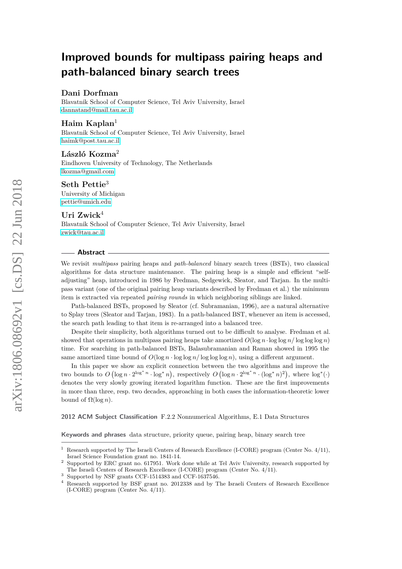# **Improved bounds for multipass pairing heaps and path-balanced binary search trees**

### **Dani Dorfman**

Blavatnik School of Computer Science, Tel Aviv University, Israel [dannatand@mail.tau.ac.il](mailto:dannatand@mail.tau.ac.il)

#### **Haim Kaplan**<sup>1</sup>

Blavatnik School of Computer Science, Tel Aviv University, Israel [haimk@post.tau.ac.il](mailto:haimk@post.tau.ac.il)

## **László Kozma**<sup>2</sup>

Eindhoven University of Technology, The Netherlands [lkozma@gmail.com](mailto:lkozma@gmail.com)

## **Seth Pettie**<sup>3</sup>

University of Michigan [pettie@umich.edu](mailto:pettie@umich.edu)

# **Uri Zwick**<sup>4</sup>

Blavatnik School of Computer Science, Tel Aviv University, Israel [zwick@tau.ac.il](mailto:zwick@tau.ac.il)

#### **Abstract**

We revisit *multipass* pairing heaps and *path-balanced* binary search trees (BSTs), two classical algorithms for data structure maintenance. The pairing heap is a simple and efficient "selfadjusting" heap, introduced in 1986 by Fredman, Sedgewick, Sleator, and Tarjan. In the multipass variant (one of the original pairing heap variants described by Fredman et al.) the minimum item is extracted via repeated *pairing rounds* in which neighboring siblings are linked.

Path-balanced BSTs, proposed by Sleator (cf. Subramanian, 1996), are a natural alternative to Splay trees (Sleator and Tarjan, 1983). In a path-balanced BST, whenever an item is accessed, the search path leading to that item is re-arranged into a balanced tree.

Despite their simplicity, both algorithms turned out to be difficult to analyse. Fredman et al. showed that operations in multipass pairing heaps take amortized  $O(\log n \cdot \log \log n / \log \log n)$ time. For searching in path-balanced BSTs, Balasubramanian and Raman showed in 1995 the same amortized time bound of  $O(\log n \cdot \log \log n / \log \log n)$ , using a different argument.

In this paper we show an explicit connection between the two algorithms and improve the two bounds to  $O(\log n \cdot 2^{\log^* n} \cdot \log^* n)$ , respectively  $O(\log n \cdot 2^{\log^* n} \cdot (\log^* n)^2)$ , where  $\log^*(\cdot)$ denotes the very slowly growing iterated logarithm function. These are the first improvements in more than three, resp. two decades, approaching in both cases the information-theoretic lower bound of  $Ω(log n)$ .

**2012 ACM Subject Classification** F.2.2 Nonnumerical Algorithms, E.1 Data Structures

**Keywords and phrases** data structure, priority queue, pairing heap, binary search tree

<sup>1</sup> Research supported by The Israeli Centers of Research Excellence (I-CORE) program (Center No. 4/11), Israel Science Foundation grant no. 1841-14.

<sup>2</sup> Supported by ERC grant no. 617951. Work done while at Tel Aviv University, research supported by The Israeli Centers of Research Excellence (I-CORE) program (Center No. 4/11).

 $^3\,$  Supported by NSF grants CCF-1514383 and CCF-1637546.

<sup>4</sup> Research supported by BSF grant no. 2012338 and by The Israeli Centers of Research Excellence (I-CORE) program (Center No. 4/11).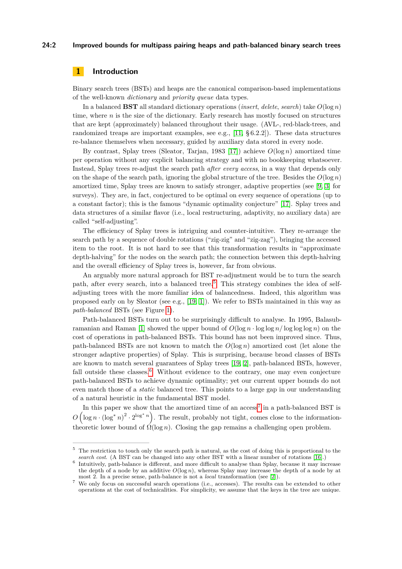#### **24:2 Improved bounds for multipass pairing heaps and path-balanced binary search trees**

# **1 Introduction**

Binary search trees (BSTs) and heaps are the canonical comparison-based implementations of the well-known *dictionary* and *priority queue* data types.

In a balanced **BST** all standard dictionary operations (*insert*, *delete*, *search*) take *O*(log *n*) time, where *n* is the size of the dictionary. Early research has mostly focused on structures that are kept (approximately) balanced throughout their usage. (AVL-, red-black-trees, and randomized treaps are important examples, see e.g.,  $[11, § 6.2.2]$  $[11, § 6.2.2]$ ). These data structures re-balance themselves when necessary, guided by auxiliary data stored in every node.

By contrast, Splay trees (Sleator, Tarjan, 1983 [\[17\]](#page-29-1)) achieve *O*(log *n*) amortized time per operation without any explicit balancing strategy and with no bookkeeping whatsoever. Instead, Splay trees re-adjust the search path *after every access*, in a way that depends only on the shape of the search path, ignoring the global structure of the tree. Besides the  $O(\log n)$ amortized time, Splay trees are known to satisfy stronger, adaptive properties (see [\[9,](#page-29-2) [3\]](#page-29-3) for surveys). They are, in fact, conjectured to be optimal on every sequence of operations (up to a constant factor); this is the famous "dynamic optimality conjecture" [\[17\]](#page-29-1). Splay trees and data structures of a similar flavor (i.e., local restructuring, adaptivity, no auxiliary data) are called "self-adjusting".

The efficiency of Splay trees is intriguing and counter-intuitive. They re-arrange the search path by a sequence of double rotations ("zig-zig" and "zig-zag"), bringing the accessed item to the root. It is not hard to see that this transformation results in "approximate depth-halving" for the nodes on the search path; the connection between this depth-halving and the overall efficiency of Splay trees is, however, far from obvious.

An arguably more natural approach for BST re-adjustment would be to turn the search path, after every search, into a balanced tree.<sup>[5](#page-1-0)</sup> This strategy combines the idea of selfadjusting trees with the more familiar idea of balancedness. Indeed, this algorithm was proposed early on by Sleator (see e.g., [\[19,](#page-29-4) [1\]](#page-29-5)). We refer to BSTs maintained in this way as *path-balanced* BSTs (see Figure [1\)](#page-2-0).

Path-balanced BSTs turn out to be surprisingly difficult to analyse. In 1995, Balasub-ramanian and Raman [\[1\]](#page-29-5) showed the upper bound of  $O(\log n \cdot \log \log n / \log \log n)$  on the cost of operations in path-balanced BSTs. This bound has not been improved since. Thus, path-balanced BSTs are not known to match the *O*(log *n*) amortized cost (let alone the stronger adaptive properties) of Splay. This is surprising, because broad classes of BSTs are known to match several guarantees of Splay trees [\[19,](#page-29-4) [2\]](#page-29-6), path-balanced BSTs, however, fall outside these classes.<sup>[6](#page-1-1)</sup> Without evidence to the contrary, one may even conjecture path-balanced BSTs to achieve dynamic optimality; yet our current upper bounds do not even match those of a *static* balanced tree. This points to a large gap in our understanding of a natural heuristic in the fundamental BST model.

In this paper we show that the amortized time of an  $access^7$  $access^7$  in a path-balanced BST is  $O\left(\log n \cdot (\log^* n)^2 \cdot 2^{\log^* n}\right)$ . The result, probably not tight, comes close to the informationtheoretic lower bound of  $\Omega(\log n)$ . Closing the gap remains a challenging open problem.

<span id="page-1-0"></span><sup>&</sup>lt;sup>5</sup> The restriction to touch only the search path is natural, as the cost of doing this is proportional to the *search cost*. (A BST can be changed into any other BST with a linear number of rotations [\[16\]](#page-29-7).)

<span id="page-1-1"></span><sup>6</sup> Intuitively, path-balance is different, and more difficult to analyse than Splay, because it may increase the depth of a node by an additive  $O(\log n)$ , whereas Splay may increase the depth of a node by at most 2. In a precise sense, path-balance is not a *local* transformation (see [\[2\]](#page-29-6)).

<span id="page-1-2"></span><sup>7</sup> We only focus on successful search operations (i.e., accesses). The results can be extended to other operations at the cost of technicalities. For simplicity, we assume that the keys in the tree are unique.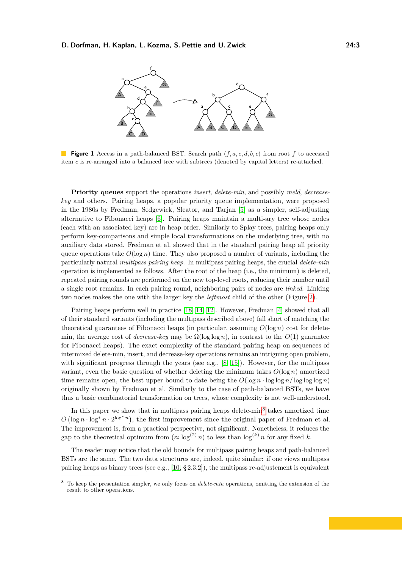<span id="page-2-0"></span>

**Figure 1** Access in a path-balanced BST. Search path (*f, a, e, d, b, c*) from root *f* to accessed item *c* is re-arranged into a balanced tree with subtrees (denoted by capital letters) re-attached.

**Priority queues** support the operations *insert*, *delete-min*, and possibly *meld*, *decreasekey* and others. Pairing heaps, a popular priority queue implementation, were proposed in the 1980s by Fredman, Sedgewick, Sleator, and Tarjan [\[5\]](#page-29-8) as a simpler, self-adjusting alternative to Fibonacci heaps [\[6\]](#page-29-9). Pairing heaps maintain a multi-ary tree whose nodes (each with an associated key) are in heap order. Similarly to Splay trees, pairing heaps only perform key-comparisons and simple local transformations on the underlying tree, with no auxiliary data stored. Fredman et al. showed that in the standard pairing heap all priority queue operations take  $O(\log n)$  time. They also proposed a number of variants, including the particularly natural *multipass pairing heap*. In multipass pairing heaps, the crucial *delete-min* operation is implemented as follows. After the root of the heap (i.e., the minimum) is deleted, repeated pairing rounds are performed on the new top-level roots, reducing their number until a single root remains. In each pairing round, neighboring pairs of nodes are *linked*. Linking two nodes makes the one with the larger key the *leftmost* child of the other (Figure [2\)](#page-3-0).

Pairing heaps perform well in practice [\[18,](#page-29-10) [14,](#page-29-11) [12\]](#page-29-12). However, Fredman [\[4\]](#page-29-13) showed that all of their standard variants (including the multipass described above) fall short of matching the theoretical guarantees of Fibonacci heaps (in particular, assuming  $O(\log n)$ ) cost for deletemin, the average cost of *decrease-key* may be  $\Omega(\log \log n)$ , in contrast to the  $O(1)$  guarantee for Fibonacci heaps). The exact complexity of the standard pairing heap on sequences of intermixed delete-min, insert, and decrease-key operations remains an intriguing open problem, with significant progress through the years (see e.g.,  $[8, 15]$  $[8, 15]$  $[8, 15]$ ). However, for the multipass variant, even the basic question of whether deleting the minimum takes  $O(\log n)$  amortized time remains open, the best upper bound to date being the  $O(\log n \cdot \log \log n / \log \log n)$ originally shown by Fredman et al. Similarly to the case of path-balanced BSTs, we have thus a basic combinatorial transformation on trees, whose complexity is not well-understood.

In this paper we show that in multipass pairing heaps delete-min<sup>[8](#page-2-1)</sup> takes amortized time  $O(\log n \cdot \log^* n \cdot 2^{\log^* n})$ , the first improvement since the original paper of Fredman et al. The improvement is, from a practical perspective, not significant. Nonetheless, it reduces the gap to the theoretical optimum from  $(\approx \log^{(2)} n)$  to less than  $\log^{(k)} n$  for any fixed *k*.

The reader may notice that the old bounds for multipass pairing heaps and path-balanced BSTs are the same. The two data structures are, indeed, quite similar: if one views multipass pairing heaps as binary trees (see e.g.,  $[10, § 2.3.2]$  $[10, § 2.3.2]$ ), the multipass re-adjustement is equivalent

<span id="page-2-1"></span><sup>8</sup> To keep the presentation simpler, we only focus on *delete-min* operations, omitting the extension of the result to other operations.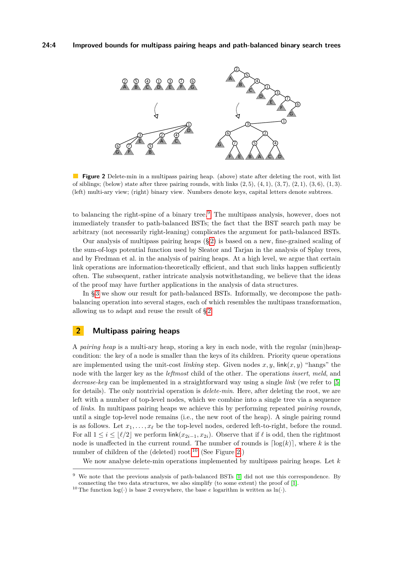<span id="page-3-0"></span>

**Figure 2** Delete-min in a multipass pairing heap. (above) state after deleting the root, with list of siblings; (below) state after three pairing rounds, with links (2*,* 5), (4*,* 1), (3*,* 7), (2*,* 1), (3*,* 6), (1*,* 3). (left) multi-ary view; (right) binary view. Numbers denote keys, capital letters denote subtrees.

to balancing the right-spine of a binary tree.[9](#page-3-1) The multipass analysis, however, does not immediately transfer to path-balanced BSTs; the fact that the BST search path may be arbitrary (not necessarily right-leaning) complicates the argument for path-balanced BSTs.

Our analysis of multipass pairing heaps (§ [2\)](#page-3-2) is based on a new, fine-grained scaling of the sum-of-logs potential function used by Sleator and Tarjan in the analysis of Splay trees, and by Fredman et al. in the analysis of pairing heaps. At a high level, we argue that certain link operations are information-theoretically efficient, and that such links happen sufficiently often. The subsequent, rather intricate analysis notwithstanding, we believe that the ideas of the proof may have further applications in the analysis of data structures.

In § [3](#page-8-0) we show our result for path-balanced BSTs. Informally, we decompose the pathbalancing operation into several stages, each of which resembles the multipass transformation, allowing us to adapt and reuse the result of § [2.](#page-3-2)

# <span id="page-3-2"></span>**2 Multipass pairing heaps**

A *pairing heap* is a multi-ary heap, storing a key in each node, with the regular (min)heapcondition: the key of a node is smaller than the keys of its children. Priority queue operations are implemented using the unit-cost *linking* step. Given nodes  $x, y$ , link $(x, y)$  "hangs" the node with the larger key as the *leftmost* child of the other. The operations *insert*, *meld*, and *decrease-key* can be implemented in a straightforward way using a single *link* (we refer to [\[5\]](#page-29-8) for details). The only nontrivial operation is *delete-min*. Here, after deleting the root, we are left with a number of top-level nodes, which we combine into a single tree via a sequence of *links*. In multipass pairing heaps we achieve this by performing repeated *pairing rounds*, until a single top-level node remains (i.e., the new root of the heap). A single pairing round is as follows. Let  $x_1, \ldots, x_\ell$  be the top-level nodes, ordered left-to-right, before the round. For all  $1 \leq i \leq |\ell/2|$  we perform link $(x_{2i-1}, x_{2i})$ . Observe that if  $\ell$  is odd, then the rightmost node is unaffected in the current round. The number of rounds is  $\lceil \log(k) \rceil$ , where k is the number of children of the (deleted) root.<sup>[10](#page-3-3)</sup> (See Figure [2.](#page-3-0))

We now analyse delete-min operations implemented by multipass pairing heaps. Let *k*

<span id="page-3-1"></span><sup>&</sup>lt;sup>9</sup> We note that the previous analysis of path-balanced BSTs [\[1\]](#page-29-5) did not use this correspondence. By connecting the two data structures, we also simplify (to some extent) the proof of [\[1\]](#page-29-5).

<span id="page-3-3"></span><sup>&</sup>lt;sup>10</sup> The function  $log(·)$  is base 2 everywhere, the base *e* logarithm is written as  $ln(·)$ .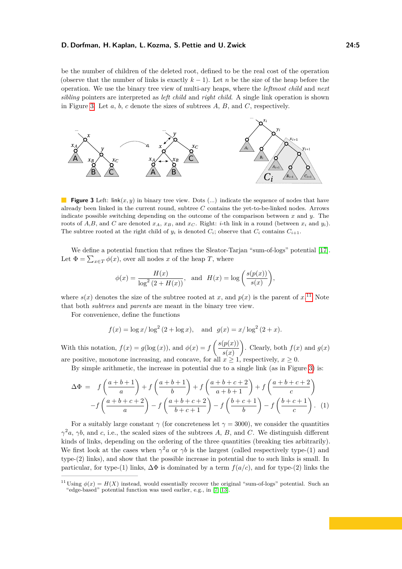be the number of children of the deleted root, defined to be the real cost of the operation (observe that the number of links is exactly  $k-1$ ). Let *n* be the size of the heap before the operation. We use the binary tree view of multi-ary heaps, where the *leftmost child* and *next sibling* pointers are interpreted as *left child* and *right child*. A single link operation is shown in Figure [3.](#page-4-0) Let *a*, *b*, *c* denote the sizes of subtrees *A*, *B*, and *C*, respectively.

<span id="page-4-0"></span>

**Figure 3** Left: link $(x, y)$  in binary tree view. Dots  $(...)$  indicate the sequence of nodes that have already been linked in the current round, subtree *C* contains the yet-to-be-linked nodes. Arrows indicate possible switching depending on the outcome of the comparison between *x* and *y*. The roots of  $A, B$ , and  $C$  are denoted  $x_A, x_B,$  and  $x_C$ . Right: *i*-th link in a round (between  $x_i$  and  $y_i$ ). The subtree rooted at the right child of  $y_i$  is denoted  $C_i$ ; observe that  $C_i$  contains  $C_{i+1}$ .

We define a potential function that refines the Sleator-Tarjan "sum-of-logs" potential [\[17\]](#page-29-1). Let  $\Phi = \sum_{x \in T} \phi(x)$ , over all nodes *x* of the heap *T*, where

$$
\phi(x) = \frac{H(x)}{\log^2(2 + H(x))}, \text{ and } H(x) = \log\left(\frac{s(p(x))}{s(x)}\right),
$$

where  $s(x)$  denotes the size of the subtree rooted at *x*, and  $p(x)$  is the parent of  $x$ <sup>[11](#page-4-1)</sup>. Note that both *subtrees* and *parents* are meant in the binary tree view.

For convenience, define the functions

<span id="page-4-2"></span>
$$
f(x) = \log x / \log^2 (2 + \log x)
$$
, and  $g(x) = x / \log^2 (2 + x)$ .

With this notation,  $f(x) = g(\log(x))$ , and  $\phi(x) = f\left(\frac{s(p(x))}{\sqrt{x}}\right)$ *s*(*x*) ). Clearly, both  $f(x)$  and  $g(x)$ are positive, monotone increasing, and concave, for all  $x \ge 1$ , respectively,  $x \ge 0$ .

By simple arithmetic, the increase in potential due to a single link (as in Figure [3\)](#page-4-0) is:

$$
\Delta \Phi = f\left(\frac{a+b+1}{a}\right) + f\left(\frac{a+b+1}{b}\right) + f\left(\frac{a+b+c+2}{a+b+1}\right) + f\left(\frac{a+b+c+2}{c}\right)
$$

$$
-f\left(\frac{a+b+c+2}{a}\right) - f\left(\frac{a+b+c+2}{b+c+1}\right) - f\left(\frac{b+c+1}{b}\right) - f\left(\frac{b+c+1}{c}\right). \tag{1}
$$

For a suitably large constant  $\gamma$  (for concreteness let  $\gamma = 3000$ ), we consider the quantities *γ*<sup>2</sup>*a*, *γb*, and *c*, i.e., the scaled sizes of the subtrees *A*, *B*, and *C*. We distinguish different kinds of links, depending on the ordering of the three quantities (breaking ties arbitrarily). We first look at the cases when  $\gamma^2 a$  or  $\gamma b$  is the largest (called respectively type-(1) and type-(2) links), and show that the possible increase in potential due to such links is small. In particular, for type-(1) links,  $\Delta \Phi$  is dominated by a term  $f(a/c)$ , and for type-(2) links the

<span id="page-4-1"></span><sup>&</sup>lt;sup>11</sup> Using  $\phi(x) = H(X)$  instead, would essentially recover the original "sum-of-logs" potential. Such an "edge-based" potential function was used earlier, e.g., in [\[7,](#page-29-17) [13\]](#page-29-18).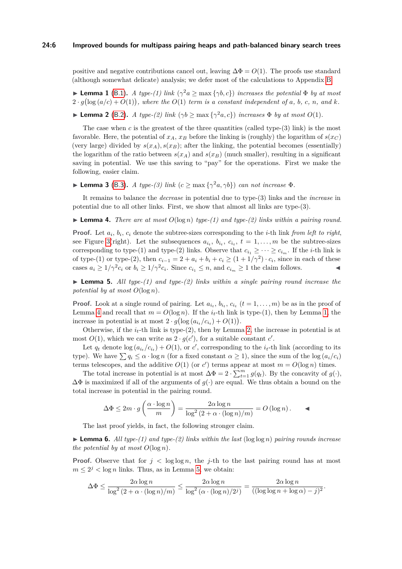positive and negative contributions cancel out, leaving  $\Delta \Phi = O(1)$ . The proofs use standard (although somewhat delicate) analysis; we defer most of the calculations to Appendix [B.](#page-13-0)

<span id="page-5-1"></span>**Lemma 1** [\(B.1\)](#page-14-0). *A type-(1) link*  $(\gamma^2 a \ge \max{\gamma b, c})$  *increases the potential*  $\Phi$  *by at most*  $2 \cdot g(\log(a/c) + O(1))$ , where the  $O(1)$  term is a constant independent of a, b, c, n, and k.

<span id="page-5-2"></span>**Example 2** [\(B.2\)](#page-16-0). *A type-(2) link*  $(\gamma b \ge \max{\gamma^2 a, c})$  *increases*  $\Phi$  *by at most*  $O(1)$ *.* 

The case when  $c$  is the greatest of the three quantities (called type- $(3)$  link) is the most favorable. Here, the potential of  $x_A$ ,  $x_B$  before the linking is (roughly) the logarithm of  $s(x_C)$ (very large) divided by  $s(x_A)$ ,  $s(x_B)$ ; after the linking, the potential becomes (essentially) the logarithm of the ratio between  $s(x_A)$  and  $s(x_B)$  (much smaller), resulting in a significant saving in potential. We use this saving to "pay" for the operations. First we make the following, easier claim.

<span id="page-5-5"></span>**Lemma 3** [\(B.3\)](#page-16-1). *A type-(3) link*  $(c \ge \max{\{\gamma^2 a, \gamma b\}}\})$  *can not increase*  $\Phi$ *.* 

It remains to balance the *decrease* in potential due to type-(3) links and the *increase* in potential due to all other links. First, we show that almost all links are type-(3).

<span id="page-5-0"></span>**Lemma 4.** *There are at most*  $O(\log n)$  *type-(1) and type-(2) links within a pairing round.* 

**Proof.** Let  $a_i$ ,  $b_i$ ,  $c_i$  denote the subtree-sizes corresponding to the *i*-th link *from left to right*, see Figure [3\(](#page-4-0)right). Let the subsequences  $a_{i_t}$ ,  $b_{i_t}$ ,  $c_{i_t}$ ,  $t = 1, \ldots, m$  be the subtree-sizes corresponding to type-(1) and type-(2) links. Observe that  $c_{i_1} \geq \cdots \geq c_{i_m}$ . If the *i*-th link is of type-(1) or type-(2), then  $c_{i-1} = 2 + a_i + b_i + c_i \ge (1 + 1/\gamma^2) \cdot c_i$ , since in each of these cases  $a_i \geq 1/\gamma^2 c_i$  or  $b_i \geq 1/\gamma^2 c_i$ . Since  $c_{i_1} \leq n$ , and  $c_{i_m} \geq 1$  the claim follows.

<span id="page-5-3"></span> $\blacktriangleright$  **Lemma 5.** All type-(1) and type-(2) links within a single pairing round increase the *potential by at most*  $O(\log n)$ *.* 

**Proof.** Look at a single round of pairing. Let  $a_{i_t}$ ,  $b_{i_t}$ ,  $c_{i_t}$  ( $t = 1, \ldots, m$ ) be as in the proof of Lemma [4](#page-5-0) and recall that  $m = O(\log n)$ . If the  $i_t$ -th link is type-(1), then by Lemma [1,](#page-5-1) the increase in potential is at most  $2 \cdot g(\log(a_{i_t}/c_{i_t}) + O(1)).$ 

Otherwise, if the  $i_t$ -th link is type-(2), then by Lemma [2,](#page-5-2) the increase in potential is at most  $O(1)$ , which we can write as  $2 \cdot g(c')$ , for a suitable constant *c'*.

Let  $q_t$  denote  $\log(a_{i_t}/c_{i_t}) + O(1)$ , or *c*<sup>*'*</sup>, corresponding to the  $i_t$ -th link (according to its type). We have  $\sum q_i \leq \alpha \cdot \log n$  (for a fixed constant  $\alpha \geq 1$ ), since the sum of the log  $(a_i/c_i)$ terms telescopes, and the additive  $O(1)$  (or *c'*) terms appear at most  $m = O(\log n)$  times.

The total increase in potential is at most  $\Delta \Phi = 2 \cdot \sum_{t=1}^{m} g(q_t)$ . By the concavity of  $g(\cdot)$ ,  $\Delta\Phi$  is maximized if all of the arguments of  $g(\cdot)$  are equal. We thus obtain a bound on the total increase in potential in the pairing round.

$$
\Delta \Phi \le 2m \cdot g\left(\frac{\alpha \cdot \log n}{m}\right) = \frac{2\alpha \log n}{\log^2\left(2 + \alpha \cdot (\log n)/m\right)} = O\left(\log n\right).
$$

The last proof yields, in fact, the following stronger claim.

<span id="page-5-4"></span> $\blacktriangleright$  **Lemma 6.** All type-(1) and type-(2) links within the last ( $\log \log n$ ) pairing rounds increase *the potential by at most*  $O(\log n)$ *.* 

**Proof.** Observe that for  $j < \log \log n$ , the *j*-th to the last pairing round has at most  $m \leq 2^j < \log n$  links. Thus, as in Lemma [5,](#page-5-3) we obtain:

$$
\Delta \Phi \le \frac{2\alpha \log n}{\log^2\left(2+\alpha\cdot(\log n)/m\right)} \le \frac{2\alpha \log n}{\log^2\left(\alpha\cdot(\log n)/2^j\right)} = \frac{2\alpha \log n}{((\log\log n + \log \alpha) - j)^2}.
$$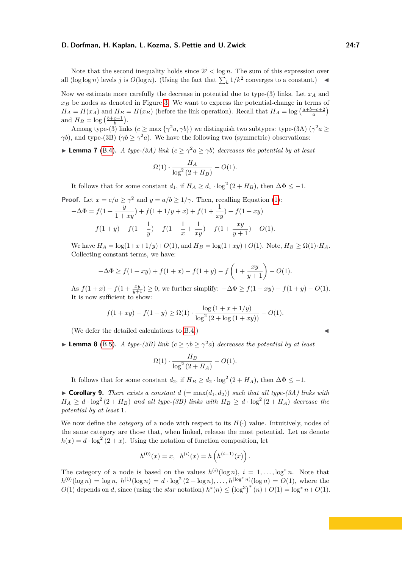Note that the second inequality holds since  $2^{j} < \log n$ . The sum of this expression over all  $(\log \log n)$  levels *j* is  $O(\log n)$ . (Using the fact that  $\sum_{k} 1/k^2$  converges to a constant.)

Now we estimate more carefully the decrease in potential due to type- $(3)$  links. Let  $x_A$  and *x<sup>B</sup>* be nodes as denoted in Figure [3.](#page-4-0) We want to express the potential-change in terms of  $H_A = H(x_A)$  and  $H_B = H(x_B)$  (before the link operation). Recall that  $H_A = \log \left( \frac{a+b+c+2}{a} \right)$ and  $H_B = \log\left(\frac{b+c+1}{b}\right)$ .

Among type-(3) links  $(c \ge \max{\{\gamma^2 a, \gamma b\}})$  we distinguish two subtypes: type-(3A)  $(\gamma^2 a \ge$ *γb*), and type-(3B) ( $\gamma b \ge \gamma^2 a$ ). We have the following two (symmetric) observations:

<span id="page-6-1"></span>**Lemma 7** [\(B.4\)](#page-19-0). *A type-(3A) link*  $(c \geq \gamma^2 a \geq \gamma b)$  *decreases the potential by at least* 

$$
\Omega(1)\cdot \frac{H_A}{\log^2\left(2+H_B\right)}-O(1).
$$

It follows that for some constant  $d_1$ , if  $H_A \geq d_1 \cdot \log^2(2 + H_B)$ , then  $\Delta \Phi \leq -1$ .

**Proof.** Let 
$$
x = c/a \ge \gamma^2
$$
 and  $y = a/b \ge 1/\gamma$ . Then, recalling Equation (1):  
\n
$$
-\Delta \Phi = f(1 + \frac{y}{1 + xy}) + f(1 + 1/y + x) + f(1 + \frac{1}{xy}) + f(1 + xy)
$$
\n
$$
-f(1 + y) - f(1 + \frac{1}{y}) - f(1 + \frac{1}{x} + \frac{1}{xy}) - f(1 + \frac{xy}{y + 1}) - O(1).
$$

We have  $H_A = \log(1 + x + 1/y) + O(1)$ , and  $H_B = \log(1 + xy) + O(1)$ . Note,  $H_B ≥ Ω(1) \cdot H_A$ . Collecting constant terms, we have:

$$
-\Delta \Phi \ge f(1+xy) + f(1+x) - f(1+y) - f\left(1 + \frac{xy}{y+1}\right) - O(1).
$$

As  $f(1+x) - f(1+\frac{xy}{y+1}) \ge 0$ , we further simplify:  $-\Delta \Phi \ge f(1+xy) - f(1+y) - O(1)$ . It is now sufficient to show:

$$
f(1+xy) - f(1+y) \ge \Omega(1) \cdot \frac{\log(1 + x + 1/y)}{\log^2(2 + \log(1+xy))} - O(1).
$$

(We defer the detailed calculations to  $B.4$ .)

<span id="page-6-2"></span>**Lemma 8** [\(B.5\)](#page-20-0). *A type-(3B) link*  $(c \ge \gamma b \ge \gamma^2 a)$  *decreases the potential by at least* 

$$
\Omega(1) \cdot \frac{H_B}{\log^2\left(2 + H_A\right)} - O(1).
$$

It follows that for some constant  $d_2$ , if  $H_B \geq d_2 \cdot \log^2(2 + H_A)$ , then  $\Delta \Phi \leq -1$ .

<span id="page-6-0"></span> $\triangleright$  **Corollary 9.** *There exists a constant*  $d$  (= max( $d_1, d_2$ )) *such that all type-(3A) links with*  $H_A \geq d \cdot \log^2(2 + H_B)$  *and all type-(3B) links with*  $H_B \geq d \cdot \log^2(2 + H_A)$  *decrease the potential by at least* 1*.*

We now define the *category* of a node with respect to its  $H(\cdot)$  value. Intuitively, nodes of the same category are those that, when linked, release the most potential. Let us denote  $h(x) = d \cdot \log^2(2+x)$ . Using the notation of function composition, let

$$
h^{(0)}(x) = x, \ \ h^{(i)}(x) = h\left(h^{(i-1)}(x)\right).
$$

The category of a node is based on the values  $h^{(i)}(\log n)$ ,  $i = 1, \ldots, \log^* n$ . Note that  $h^{(0)}(\log n) = \log n, h^{(1)}(\log n) = d \cdot \log^2(2 + \log n), \ldots, h^{(\log^* n)}(\log n) = O(1)$ , where the  $O(1)$  depends on *d*, since (using the *star* notation)  $h^*(n) \leq (\log^3)^*(n) + O(1) = \log^* n + O(1)$ .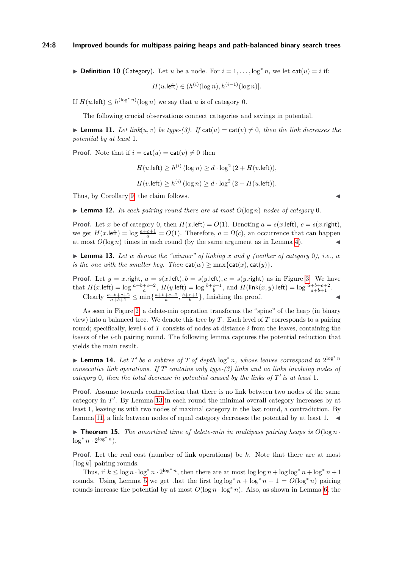▶ **Definition 10** (Category). Let *u* be a node. For  $i = 1, \ldots, \log^* n$ , we let cat $(u) = i$  if:

$$
H(u.\text{left}) \in (h^{(i)}(\log n), h^{(i-1)}(\log n)).
$$

If  $H(u.\text{left}) \leq h^{(\log^* n)}(\log n)$  we say that *u* is of category 0.

The following crucial observations connect categories and savings in potential.

<span id="page-7-1"></span>**Lemma 11.** Let link(*u, v*) be type-(3). If  $\text{cat}(u) = \text{cat}(v) \neq 0$ , then the link decreases the *potential by at least* 1*.*

**Proof.** Note that if  $i = \text{cat}(u) = \text{cat}(v) \neq 0$  then

 $H(u.\text{left}) \ge h^{(i)}(\log n) \ge d \cdot \log^2{(2 + H(v.\text{left}))},$  $H(v.\text{left}) \ge h^{(i)}(\log n) \ge d \cdot \log^2(2 + H(u.\text{left})).$ 

Thus, by Corollary [9,](#page-6-0) the claim follows.

<span id="page-7-3"></span> $\blacktriangleright$  **Lemma 12.** *In each pairing round there are at most*  $O(\log n)$  *nodes of category* 0*.* 

**Proof.** Let *x* be of category 0, then  $H(x.\text{left}) = O(1)$ . Denoting  $a = s(x.\text{left})$ ,  $c = s(x.\text{right})$ , we get  $H(x.\text{left}) = \log \frac{a+c+1}{a} = O(1)$ . Therefore,  $a = \Omega(c)$ , an occurrence that can happen at most  $O(\log n)$  times in each round (by the same argument as in Lemma [4\)](#page-5-0).

<span id="page-7-0"></span> $\blacktriangleright$  **Lemma 13.** Let *w* denote the "winner" of linking *x* and *y* (neither of category 0), i.e., *w is the one with the smaller key. Then*  $\text{cat}(w) \ge \max\{\text{cat}(x), \text{cat}(y)\}.$ 

**Proof.** Let  $y = x$ .right,  $a = s(x)$ .left),  $b = s(y)$ .left),  $c = s(y)$ .right) as in Figure [3.](#page-4-0) We have that  $H(x.\text{left}) = \log \frac{a+b+c+2}{a}$ ,  $H(y.\text{left}) = \log \frac{b+c+1}{b}$ , and  $H(\text{link}(x, y).\text{left}) = \log \frac{a+b+c+2}{a+b+1}$ . Clearly  $\frac{a+b+c+2}{a+b+1} \le \min\{\frac{a+b+c+2}{a}, \frac{b+c+1}{b}\}\$ , finishing the proof.

As seen in Figure [2,](#page-3-0) a delete-min operation transforms the "spine" of the heap (in binary view) into a balanced tree. We denote this tree by *T*. Each level of *T* corresponds to a pairing round; specifically, level *i* of *T* consists of nodes at distance *i* from the leaves, containing the *losers* of the *i*-th pairing round. The following lemma captures the potential reduction that yields the main result.

<span id="page-7-2"></span>▶ Lemma 14. Let T' be a subtree of T of depth  $\log^* n$ , whose leaves correspond to  $2^{\log^* n}$ *consecutive link operations. If*  $T'$  *contains only type-(3) links and no links involving nodes of category* 0, then the total decrease in potential caused by the links of  $T'$  is at least 1.

**Proof.** Assume towards contradiction that there is no link between two nodes of the same category in  $T'$ . By Lemma [13](#page-7-0) in each round the minimal overall category increases by at least 1, leaving us with two nodes of maximal category in the last round, a contradiction. By Lemma [11,](#page-7-1) a link between nodes of equal category decreases the potential by at least  $1. \blacktriangleleft$ 

<span id="page-7-4"></span>**Findamentary** 15. The amortized time of delete-min in multipass pairing heaps is  $O(\log n \cdot$  $\log^* n \cdot 2^{\log^* n}$ .

**Proof.** Let the real cost (number of link operations) be *k*. Note that there are at most  $\lceil \log k \rceil$  pairing rounds.

Thus, if  $k \leq \log n \cdot \log^* n \cdot 2^{\log^* n}$ , then there are at most  $\log \log n + \log \log^* n + \log^* n + 1$ rounds. Using Lemma [5](#page-5-3) we get that the first  $\log \log^* n + \log^* n + 1 = O(\log^* n)$  pairing rounds increase the potential by at most  $O(\log n \cdot \log^* n)$ . Also, as shown in Lemma [6,](#page-5-4) the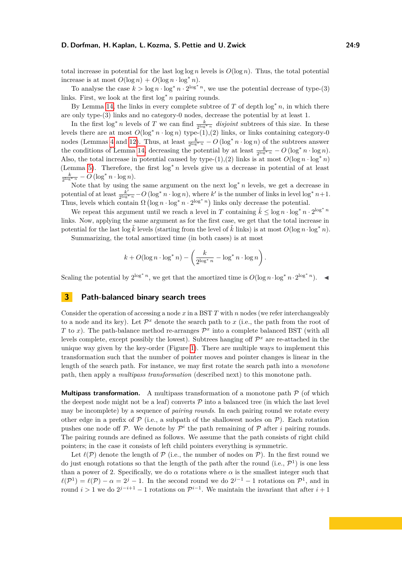total increase in potential for the last  $\log \log n$  levels is  $O(\log n)$ . Thus, the total potential increase is at most  $O(\log n) + O(\log n \cdot \log^* n)$ .

To analyse the case  $k > \log n \cdot \log^* n \cdot 2^{\log^* n}$ , we use the potential decrease of type-(3) links. First, we look at the first log<sup>∗</sup> *n* pairing rounds.

By Lemma [14,](#page-7-2) the links in every complete subtree of  $T$  of depth  $\log^* n$ , in which there are only type-(3) links and no category-0 nodes, decrease the potential by at least 1.

In the first  $\log^* n$  levels of *T* we can find  $\frac{k}{2^{\log^* n}}$  *disjoint* subtrees of this size. In these levels there are at most  $O(\log^* n \cdot \log n)$  type- $(1),(2)$  links, or links containing category-0 nodes (Lemmas [4](#page-5-0) and [12\)](#page-7-3). Thus, at least  $\frac{k}{2^{\log^* n}} - O(\log^* n \cdot \log n)$  of the subtrees answer the conditions of Lemma [14,](#page-7-2) decreasing the potential by at least  $\frac{k}{2^{\log^* n}} - O(\log^* n \cdot \log n)$ . Also, the total increase in potential caused by type- $(1),(2)$  links is at most  $O(\log n \cdot \log^* n)$ (Lemma [5\)](#page-5-3). Therefore, the first log<sup>∗</sup> *n* levels give us a decrease in potential of at least  $\frac{k}{2^{\log^* n}} - O\left(\log^* n \cdot \log n\right).$ 

Note that by using the same argument on the next log<sup>∗</sup> *n* levels, we get a decrease in potential of at least  $\frac{k'}{2^{\log k}}$  $\frac{k'}{2^{\log n}} - O\left(\log^* n \cdot \log n\right)$ , where  $k'$  is the number of links in level  $\log^* n + 1$ . Thus, levels which contain  $\Omega(\log n \cdot \log^* n \cdot 2^{\log^* n})$  links only decrease the potential.

We repeat this argument until we reach a level in *T* containing  $\tilde{k} \leq \log n \cdot \log^* n \cdot 2^{\log^* n}$ links. Now, applying the same argument as for the first case, we get that the total increase in potential for the last log  $\vec{k}$  levels (starting from the level of  $\vec{k}$  links) is at most  $O(\log n \cdot \log^* n)$ .

Summarizing, the total amortized time (in both cases) is at most

$$
k + O(\log n \cdot \log^* n) - \left(\frac{k}{2^{\log^* n}} - \log^* n \cdot \log n\right).
$$

Scaling the potential by  $2^{\log^* n}$ , we get that the amortized time is  $O(\log n \cdot \log^* n \cdot 2^{\log^* n})$ .

# <span id="page-8-0"></span>**3 Path-balanced binary search trees**

Consider the operation of accessing a node *x* in a BST *T* with *n* nodes (we refer interchangeably to a node and its key). Let  $\mathcal{P}^x$  denote the search path to *x* (i.e., the path from the root of *T* to *x*). The path-balance method re-arranges  $\mathcal{P}^x$  into a complete balanced BST (with all levels complete, except possibly the lowest). Subtrees hanging off  $\mathcal{P}^x$  are re-attached in the unique way given by the key-order (Figure [1\)](#page-2-0). There are multiple ways to implement this transformation such that the number of pointer moves and pointer changes is linear in the length of the search path. For instance, we may first rotate the search path into a *monotone* path, then apply a *multipass transformation* (described next) to this monotone path.

**Multipass transformation.** A multipass transformation of a monotone path  $P$  (of which the deepest node might not be a leaf) converts  $P$  into a balanced tree (in which the last level may be incomplete) by a sequence of *pairing rounds*. In each pairing round we rotate every other edge in a prefix of  $P$  (i.e., a subpath of the shallowest nodes on  $P$ ). Each rotation pushes one node of  $P$ . We denote by  $P^i$  the path remaining of  $P$  after *i* pairing rounds. The pairing rounds are defined as follows. We assume that the path consists of right child pointers; in the case it consists of left child pointers everything is symmetric.

Let  $\ell(\mathcal{P})$  denote the length of  $\mathcal P$  (i.e., the number of nodes on  $\mathcal P$ ). In the first round we do just enough rotations so that the length of the path after the round (i.e.,  $\mathcal{P}^1$ ) is one less than a power of 2. Specifically, we do  $\alpha$  rotations where  $\alpha$  is the smallest integer such that  $\ell(\mathcal{P}^1) = \ell(\mathcal{P}) - \alpha = 2^j - 1$ . In the second round we do  $2^{j-1} - 1$  rotations on  $\mathcal{P}^1$ , and in round  $i > 1$  we do  $2^{j-i+1} - 1$  rotations on  $\mathcal{P}^{i-1}$ . We maintain the invariant that after  $i+1$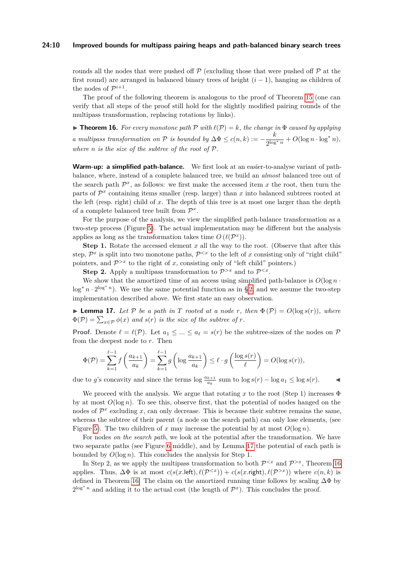#### **24:10 Improved bounds for multipass pairing heaps and path-balanced binary search trees**

rounds all the nodes that were pushed off  $\mathcal P$  (excluding those that were pushed off  $\mathcal P$  at the first round) are arranged in balanced binary trees of height (*i* − 1), hanging as children of the nodes of  $\mathcal{P}^{i+1}$ .

The proof of the following theorem is analogous to the proof of Theorem [15](#page-7-4) (one can verify that all steps of the proof still hold for the slightly modified pairing rounds of the multipass transformation, replacing rotations by links).

<span id="page-9-1"></span>**Theorem 16.** For every monotone path  $P$  with  $\ell(P) = k$ , the change in  $\Phi$  caused by applying *a multipass transformation on*  $\mathcal P$  *is bounded by*  $\Delta \Phi \leq c(n,k) := -\frac{k}{2^{1-\alpha}}$  $\frac{\kappa}{2^{\log^* n}} + O(\log n \cdot \log^* n),$ *where n is the size of the subtree of the root of* P*.*

**Warm-up: a simplified path-balance.** We first look at an easier-to-analyse variant of pathbalance, where, instead of a complete balanced tree, we build an *almost* balanced tree out of the search path  $\mathcal{P}^x$ , as follows: we first make the accessed item x the root, then turn the parts of  $\mathcal{P}^x$  containing items smaller (resp. larger) than  $x$  into balanced subtrees rooted at the left (resp. right) child of *x*. The depth of this tree is at most one larger than the depth of a complete balanced tree built from  $\mathcal{P}^x$ .

For the purpose of the analysis, we view the simplified path-balance transformation as a two-step process (Figure [5\)](#page-12-0). The actual implementation may be different but the analysis applies as long as the transformation takes time  $O(\ell(\mathcal{P}^x))$ .

**Step 1.** Rotate the accessed element *x* all the way to the root. (Observe that after this step,  $\mathcal{P}^x$  is split into two monotone paths,  $\mathcal{P}^{< x}$  to the left of *x* consisting only of "right child" pointers, and  $\mathcal{P}^{>x}$  to the right of *x*, consisting only of "left child" pointers.)

**Step 2.** Apply a multipass transformation to  $\mathcal{P}^{>x}$  and to  $\mathcal{P}^{< x}$ .

We show that the amortized time of an access using simplified path-balance is  $O(\log n \cdot$ log<sup>\*</sup> *n* ⋅ 2<sup>log\*</sup><sup>*n*</sup>). We use the same potential function as in § [2,](#page-3-2) and we assume the two-step implementation described above. We first state an easy observation.

<span id="page-9-0"></span>**If Lemma 17.** Let P be a path in T rooted at a node r, then  $\Phi(\mathcal{P}) = O(\log s(r))$ , where  $\Phi(\mathcal{P}) = \sum_{x \in \mathcal{P}} \phi(x)$  and  $s(r)$  is the size of the subtree of  $r$ .

**Proof.** Denote  $\ell = \ell(\mathcal{P})$ . Let  $a_1 \leq ... \leq a_\ell = s(r)$  be the subtree-sizes of the nodes on  $\mathcal{P}$ from the deepest node to *r*. Then

$$
\Phi(\mathcal{P}) = \sum_{k=1}^{\ell-1} f\left(\frac{a_{k+1}}{a_k}\right) = \sum_{k=1}^{\ell-1} g\left(\log \frac{a_{k+1}}{a_k}\right) \le \ell \cdot g\left(\frac{\log s(r)}{\ell}\right) = O(\log s(r)),
$$

due to *g*'s concavity and since the terms  $\log \frac{a_{k+1}}{a_k}$  sum to  $\log s(r) - \log a_1 \leq \log s(r)$ .

We proceed with the analysis. We argue that rotating x to the root (Step 1) increases  $\Phi$ by at most  $O(\log n)$ . To see this, observe first, that the potential of nodes hanged on the nodes of  $\mathcal{P}^x$  excluding *x*, can only decrease. This is because their subtree remains the same, whereas the subtree of their parent (a node on the search path) can only lose elements, (see Figure [5\)](#page-12-0). The two children of x may increase the potential by at most  $O(\log n)$ .

For nodes *on the search path*, we look at the potential after the transformation. We have two separate paths (see Figure [6](#page-12-1) middle), and by Lemma [17](#page-9-0) the potential of each path is bounded by  $O(\log n)$ . This concludes the analysis for Step 1.

In Step 2, as we apply the multipass transformation to both  $\mathcal{P}^{< x}$  and  $\mathcal{P}^{> x}$ , Theorem [16](#page-9-1) applies. Thus,  $\Delta \Phi$  is at most  $c(s(x.\text{left}), \ell(\mathcal{P}^{< x})) + c(s(x.\text{right}), \ell(\mathcal{P}^{> x}))$  where  $c(n, k)$  is defined in Theorem [16.](#page-9-1) The claim on the amortized running time follows by scaling  $\Delta\Phi$  by  $2^{\log^* n}$  and adding it to the actual cost (the length of  $\mathcal{P}^x$ ). This concludes the proof.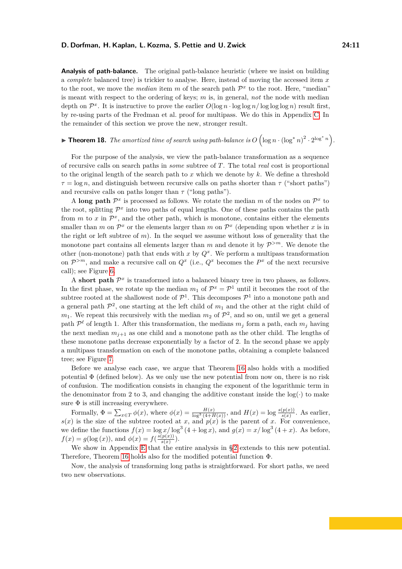**Analysis of path-balance.** The original path-balance heuristic (where we insist on building a *complete* balanced tree) is trickier to analyse. Here, instead of moving the accessed item *x* to the root, we move the *median* item *m* of the search path  $\mathcal{P}^x$  to the root. Here, "median" is meant with respect to the ordering of keys; *m* is, in general, *not* the node with median depth on  $\mathcal{P}^x$ . It is instructive to prove the earlier  $O(\log n \cdot \log \log n / \log \log \log n)$  result first, by re-using parts of the Fredman et al. proof for multipass. We do this in Appendix [C.](#page-22-0) In the remainder of this section we prove the new, stronger result.

# <span id="page-10-0"></span>▶ **Theorem 18.** *The amortized time of search using path-balance is*  $O(\log n \cdot (\log^* n)^2 \cdot 2^{\log^* n})$ .

For the purpose of the analysis, we view the path-balance transformation as a sequence of recursive calls on search paths in *some* subtree of *T*. The total *real* cost is proportional to the original length of the search path to *x* which we denote by *k*. We define a threshold  $\tau = \log n$ , and distinguish between recursive calls on paths shorter than  $\tau$  ("short paths") and recursive calls on paths longer than  $\tau$  ("long paths").

A long path  $\mathcal{P}^x$  is processed as follows. We rotate the median *m* of the nodes on  $\mathcal{P}^x$  to the root, splitting  $\mathcal{P}^x$  into two paths of equal lengths. One of these paths contains the path from  $m$  to  $x$  in  $\mathcal{P}^x$ , and the other path, which is monotone, contains either the elements smaller than *m* on  $\mathcal{P}^x$  or the elements larger than *m* on  $\mathcal{P}^x$  (depending upon whether *x* is in the right or left subtree of *m*). In the sequel we assume without loss of generality that the monotone part contains all elements larger than  $m$  and denote it by  $\mathcal{P}^{>m}$ . We denote the other (non-monotone) path that ends with  $x$  by  $Q^x$ . We perform a multipass transformation on  $\mathcal{P}^{>m}$ , and make a recursive call on  $Q^x$  (i.e.,  $Q^x$  becomes the  $P^x$  of the next recursive call); see Figure [6.](#page-12-1)

A short path  $\mathcal{P}^x$  is transformed into a balanced binary tree in two phases, as follows. In the first phase, we rotate up the median  $m_1$  of  $\mathcal{P}^x = \mathcal{P}^1$  until it becomes the root of the subtree rooted at the shallowest node of  $\mathcal{P}^1$ . This decomposes  $\mathcal{P}^1$  into a monotone path and a general path  $\mathcal{P}^2$ , one starting at the left child of  $m_1$  and the other at the right child of  $m_1$ . We repeat this recursively with the median  $m_2$  of  $\mathcal{P}^2$ , and so on, until we get a general path  $\mathcal{P}^{\ell}$  of length 1. After this transformation, the medians  $m_j$  form a path, each  $m_j$  having the next median  $m_{j+1}$  as one child and a monotone path as the other child. The lengths of these monotone paths decrease exponentially by a factor of 2. In the second phase we apply a multipass transformation on each of the monotone paths, obtaining a complete balanced tree; see Figure [7.](#page-13-1)

Before we analyse each case, we argue that Theorem [16](#page-9-1) also holds with a modified potential  $\Phi$  (defined below). As we only use the new potential from now on, there is no risk of confusion. The modification consists in changing the exponent of the logarithmic term in the denominator from 2 to 3, and changing the additive constant inside the  $log(·)$  to make sure  $\Phi$  is still increasing everywhere.

Formally,  $\Phi = \sum_{x \in T} \phi(x)$ , where  $\phi(x) = \frac{H(x)}{\log^3(4 + H(x))}$ , and  $H(x) = \log \frac{s(p(x))}{s(x)}$ . As earlier,  $s(x)$  is the size of the subtree rooted at *x*, and  $p(x)$  is the parent of *x*. For convenience, we define the functions  $f(x) = \log x / \log^3(4 + \log x)$ , and  $g(x) = x / \log^3(4 + x)$ . As before,  $f(x) = g(\log(x))$ , and  $\phi(x) = f(\frac{s(p(x))}{s(x)})$  $\frac{(p(x))}{s(x)}$ .

We show in Appendix [E](#page-25-0) that the entire analysis in §2 extends to this new potential. Therefore, Theorem [16](#page-9-1) holds also for the modified potential function Φ.

Now, the analysis of transforming long paths is straightforward. For short paths, we need two new observations.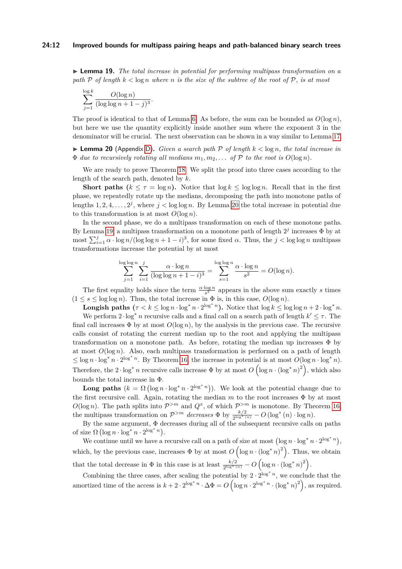#### **24:12 Improved bounds for multipass pairing heaps and path-balanced binary search trees**

<span id="page-11-1"></span>**► Lemma 19.** *The total increase in potential for performing multipass transformation on a path* P *of length k <* log *n where n is the size of the subtree of the root of* P*, is at most*

$$
\sum_{j=1}^{\log k} \frac{O(\log n)}{(\log \log n + 1 - j)^3}.
$$

The proof is identical to that of Lemma [6.](#page-5-4) As before, the sum can be bounded as  $O(\log n)$ , but here we use the quantity explicitly inside another sum where the exponent 3 in the denominator will be crucial. The next observation can be shown in a way similar to Lemma [17.](#page-9-0)

<span id="page-11-0"></span>**I Lemma 20** (Appendix [D\)](#page-24-0). *Given a search path*  $P$  *of length*  $k < \log n$ *, the total increase in*  $\Phi$  *due to recursively rotating all medians*  $m_1, m_2, \ldots$  *of*  $\mathcal{P}$  *to the root is*  $O(\log n)$ *.* 

We are ready to prove Theorem [18.](#page-10-0) We split the proof into three cases according to the length of the search path, denoted by *k*.

**Short paths (** $k \leq \tau = \log n$ ). Notice that  $\log k \leq \log \log n$ . Recall that in the first phase, we repeatedly rotate up the medians, decomposing the path into monotone paths of lengths  $1, 2, 4, \ldots, 2^j$ , where  $j < \log \log n$ . By Lemma [20](#page-11-0) the total increase in potential due to this transformation is at most  $O(\log n)$ .

In the second phase, we do a multipass transformation on each of these monotone paths. By Lemma [19,](#page-11-1) a multipass transformation on a monotone path of length  $2<sup>j</sup>$  increases  $\Phi$  by at most  $\sum_{i=1}^{j} \alpha \cdot \log n / (\log \log n + 1 - i)^3$ , for some fixed  $\alpha$ . Thus, the  $j < \log \log n$  multipass transformations increase the potential by at most

$$
\sum_{j=1}^{\log\log n} \sum_{i=1}^j \frac{\alpha \cdot \log n}{(\log\log n + 1 - i)^3} = \sum_{s=1}^{\log\log n} \frac{\alpha \cdot \log n}{s^2} = O(\log n).
$$

The first equality holds since the term  $\frac{\alpha \cdot \log n}{s^3}$  appears in the above sum exactly *s* times  $(1 \leq s \leq \log \log n)$ . Thus, the total increase in  $\Phi$  is, in this case,  $O(\log n)$ .

**Longish paths**  $(\tau < k \leq \log n \cdot \log^* n \cdot 2^{\log^* n})$ . Notice that  $\log k \leq \log \log n + 2 \cdot \log^* n$ .

We perform  $2 \cdot \log^* n$  recursive calls and a final call on a search path of length  $k' \leq \tau$ . The final call increases  $\Phi$  by at most  $O(\log n)$ , by the analysis in the previous case. The recursive calls consist of rotating the current median up to the root and applying the multipass transformation on a monotone path. As before, rotating the median up increases  $\Phi$  by at most  $O(\log n)$ . Also, each multipass transformation is performed on a path of length  $\leq$  log *n* · log<sup>\*</sup> *n* · 2<sup>log\*</sup> *n*. By Theorem [16,](#page-9-1) the increase in potential is at most  $O(\log n \cdot \log^* n)$ . Therefore, the  $2 \cdot \log^* n$  recursive calls increase  $\Phi$  by at most  $O\left(\log n \cdot (\log^* n)^2\right)$ , which also bounds the total increase in Φ.

**Long paths**  $(k = \Omega (\log n \cdot \log^* n \cdot 2^{\log^* n}))$ . We look at the potential change due to the first recursive call. Again, rotating the median  $m$  to the root increases  $\Phi$  by at most  $O(\log n)$ . The path splits into  $\mathcal{P}^{>m}$  and  $Q^x$ , of which  $\mathcal{P}^{>m}$  is monotone. By Theorem [16,](#page-9-1) the multipass transformation on  $\mathcal{P}^{>m}$  *decreases*  $\Phi$  by  $\frac{k/2}{2^{\log^*(n)}} - O(\log^*(n) \cdot \log n)$ .

By the same argument, Φ decreases during all of the subsequent recursive calls on paths of size  $\Omega$  (log  $n \cdot \log^* n \cdot 2^{\log^* n}$ ).

We continue until we have a recursive call on a path of size at most  $(\log n \cdot \log^* n \cdot 2^{\log^* n})$ , which, by the previous case, increases  $\Phi$  by at most  $O\left(\log n \cdot (\log^* n)^2\right)$ . Thus, we obtain that the total decrease in  $\Phi$  in this case is at least  $\frac{k/2}{2^{\log^* (n)}} - O\left(\log n \cdot (\log^* n)^2\right)$ .

Combining the three cases, after scaling the potential by  $2 \cdot 2^{\log^* n}$ , we conclude that the amortized time of the access is  $k + 2 \cdot 2^{\log^* n} \cdot \Delta \Phi = O\left(\log n \cdot 2^{\log^* n} \cdot (\log^* n)^2\right)$ , as required.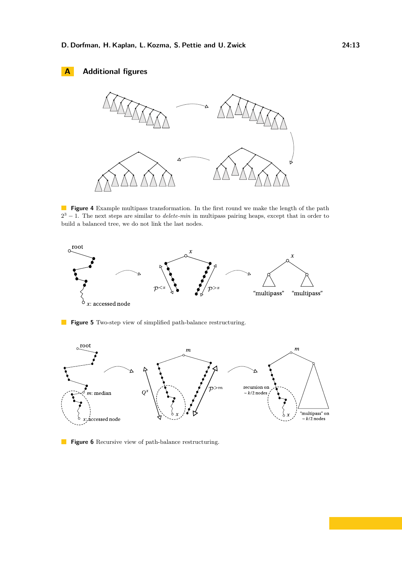# **A Additional figures**



**Figure 4** Example multipass transformation. In the first round we make the length of the path 2 <sup>3</sup> − 1. The next steps are similar to *delete-min* in multipass pairing heaps, except that in order to build a balanced tree, we do not link the last nodes.

<span id="page-12-0"></span>

**Figure 5** Two-step view of simplified path-balance restructuring.

<span id="page-12-1"></span>

**Figure 6** Recursive view of path-balance restructuring.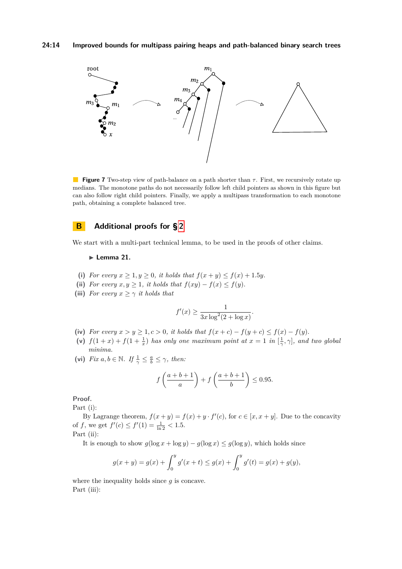<span id="page-13-1"></span>

**Figure 7** Two-step view of path-balance on a path shorter than *τ* . First, we recursively rotate up medians. The monotone paths do not necessarily follow left child pointers as shown in this figure but can also follow right child pointers. Finally, we apply a multipass transformation to each monotone path, obtaining a complete balanced tree.

# <span id="page-13-0"></span>**B Additional proofs for § [2](#page-3-2)**

We start with a multi-part technical lemma, to be used in the proofs of other claims.

#### <span id="page-13-2"></span> $\blacktriangleright$  Lemma 21.

- (i) *For every*  $x \geq 1, y \geq 0$ *, it holds that*  $f(x + y) \leq f(x) + 1.5y$ .
- (ii) *For every*  $x, y \geq 1$ *, it holds that*  $f(xy) f(x) \leq f(y)$ *.*
- (iii) *For every*  $x \geq \gamma$  *it holds that*

$$
f'(x) \ge \frac{1}{3x \log^2(2 + \log x)}.
$$

- (iv) *For every*  $x > y \geq 1, c > 0$ *, it holds that*  $f(x + c) f(y + c) \leq f(x) f(y)$ *.*
- (v)  $f(1+x) + f(1+\frac{1}{x})$  has only one maximum point at  $x = 1$  in  $[\frac{1}{\gamma}, \gamma]$ , and two global *minima.*
- (vi) *Fix*  $a, b \in \mathbb{N}$ *. If*  $\frac{1}{\gamma} \leq \frac{a}{b} \leq \gamma$ *, then:*

$$
f\left(\frac{a+b+1}{a}\right) + f\left(\frac{a+b+1}{b}\right) \le 0.95.
$$

**Proof.**

Part (i):

By Lagrange theorem,  $f(x + y) = f(x) + y \cdot f'(c)$ , for  $c \in [x, x + y]$ . Due to the concavity of *f*, we get  $f'(c) \le f'(1) = \frac{1}{\ln 2} < 1.5$ .

Part (ii):

It is enough to show  $g(\log x + \log y) - g(\log x) \leq g(\log y)$ , which holds since

$$
g(x + y) = g(x) + \int_0^y g'(x + t) \le g(x) + \int_0^y g'(t) = g(x) + g(y),
$$

where the inequality holds since *g* is concave. Part (iii):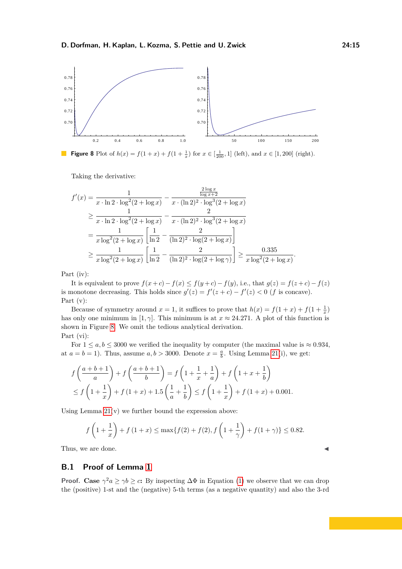<span id="page-14-1"></span>

**Figure 8** Plot of  $h(x) = f(1+x) + f(1+\frac{1}{x})$  for  $x \in \left[\frac{1}{200}, 1\right]$  (left), and  $x \in [1, 200]$  (right).

Taking the derivative:

$$
f'(x) = \frac{1}{x \cdot \ln 2 \cdot \log^2(2 + \log x)} - \frac{\frac{2 \log x}{\log x + 2}}{x \cdot (\ln 2)^2 \cdot \log^3(2 + \log x)}
$$
  
\n
$$
\geq \frac{1}{x \cdot \ln 2 \cdot \log^2(2 + \log x)} - \frac{2}{x \cdot (\ln 2)^2 \cdot \log^3(2 + \log x)}
$$
  
\n
$$
= \frac{1}{x \log^2(2 + \log x)} \left[ \frac{1}{\ln 2} - \frac{2}{(\ln 2)^2 \cdot \log(2 + \log x)} \right]
$$
  
\n
$$
\geq \frac{1}{x \log^2(2 + \log x)} \left[ \frac{1}{\ln 2} - \frac{2}{(\ln 2)^2 \cdot \log(2 + \log \gamma)} \right] \geq \frac{0.335}{x \log^2(2 + \log x)}.
$$

Part (iv):

It is equivalent to prove  $f(x+c) - f(x) \le f(y+c) - f(y)$ , i.e., that  $g(z) = f(z+c) - f(z)$ is monotone decreasing. This holds since  $g'(z) = f'(z + c) - f'(z) < 0$  (*f* is concave). Part (v):

Because of symmetry around  $x = 1$ , it suffices to prove that  $h(x) = f(1+x) + f(1+\frac{1}{x})$ has only one minimum in [1,  $\gamma$ ]. This minimum is at  $x \approx 24.271$ . A plot of this function is shown in Figure [8.](#page-14-1) We omit the tedious analytical derivation. Part (vi):

For  $1 \le a, b \le 3000$  we verified the inequality by computer (the maximal value is  $\approx 0.934$ , at  $a = b = 1$ ). Thus, assume  $a, b > 3000$ . Denote  $x = \frac{a}{b}$ . Using Lemma [21\(](#page-13-2)i), we get:

$$
f\left(\frac{a+b+1}{a}\right) + f\left(\frac{a+b+1}{b}\right) = f\left(1 + \frac{1}{x} + \frac{1}{a}\right) + f\left(1 + x + \frac{1}{b}\right)
$$
  
\n
$$
\le f\left(1 + \frac{1}{x}\right) + f\left(1 + x\right) + 1.5\left(\frac{1}{a} + \frac{1}{b}\right) \le f\left(1 + \frac{1}{x}\right) + f\left(1 + x\right) + 0.001.
$$

Using Lemma  $21(v)$  we further bound the expression above:

$$
f\left(1+\frac{1}{x}\right) + f\left(1+x\right) \le \max\{f(2) + f(2), f\left(1+\frac{1}{\gamma}\right) + f(1+\gamma)\} \le 0.82.
$$

Thus, we are done.

### <span id="page-14-0"></span>**B.1 Proof of Lemma [1](#page-5-1)**

**Proof.** Case  $\gamma^2 a \geq \gamma b \geq c$ : By inspecting  $\Delta \Phi$  in Equation [\(1\)](#page-4-2) we observe that we can drop the (positive) 1-st and the (negative) 5-th terms (as a negative quantity) and also the 3-rd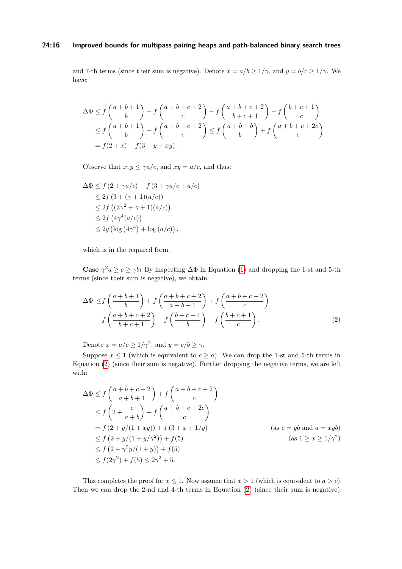#### **24:16 Improved bounds for multipass pairing heaps and path-balanced binary search trees**

and 7-th terms (since their sum is negative). Denote  $x = a/b \ge 1/\gamma$ , and  $y = b/c \ge 1/\gamma$ . We have:

$$
\Delta \Phi \le f\left(\frac{a+b+1}{b}\right) + f\left(\frac{a+b+c+2}{c}\right) - f\left(\frac{a+b+c+2}{b+c+1}\right) - f\left(\frac{b+c+1}{c}\right)
$$
  
\n
$$
\le f\left(\frac{a+b+1}{b}\right) + f\left(\frac{a+b+c+2}{c}\right) \le f\left(\frac{a+b+b}{b}\right) + f\left(\frac{a+b+c+2c}{c}\right)
$$
  
\n
$$
= f(2+x) + f(3+y+xy).
$$

Observe that  $x, y \leq \gamma a/c$ , and  $xy = a/c$ , and thus:

$$
\Delta \Phi \le f (2 + \gamma a/c) + f (3 + \gamma a/c + a/c)
$$
  
\n
$$
\le 2f (3 + (\gamma + 1)(a/c))
$$
  
\n
$$
\le 2f ((3\gamma^2 + \gamma + 1)(a/c))
$$
  
\n
$$
\le 2f (4\gamma^4(a/c))
$$
  
\n
$$
\le 2g (\log (4\gamma^4) + \log (a/c)),
$$

which is in the required form.

**Case**  $\gamma^2 a \geq c \geq \gamma b$ : By inspecting  $\Delta \Phi$  in Equation [\(1\)](#page-4-2) and dropping the 1-st and 5-th terms (since their sum is negative), we obtain:

<span id="page-15-0"></span>
$$
\Delta \Phi \le f\left(\frac{a+b+1}{b}\right) + f\left(\frac{a+b+c+2}{a+b+1}\right) + f\left(\frac{a+b+c+2}{c}\right)
$$

$$
-f\left(\frac{a+b+c+2}{b+c+1}\right) - f\left(\frac{b+c+1}{b}\right) - f\left(\frac{b+c+1}{c}\right). \tag{2}
$$

Denote  $x = a/c \ge 1/\gamma^2$ , and  $y = c/b \ge \gamma$ .

Suppose  $x \le 1$  (which is equivalent to  $c \ge a$ ). We can drop the 1-st and 5-th terms in Equation [\(2\)](#page-15-0) (since their sum is negative). Further dropping the negative terms, we are left with:

$$
\Delta \Phi \le f\left(\frac{a+b+c+2}{a+b+1}\right) + f\left(\frac{a+b+c+2}{c}\right)
$$
  
\n
$$
\le f\left(2+\frac{c}{a+b}\right) + f\left(\frac{a+b+c+2c}{c}\right)
$$
  
\n
$$
= f\left(2+y/(1+xy)\right) + f\left(3+x+1/y\right)
$$
  
\n
$$
\le f\left(2+y/(1+y/\gamma^2)\right) + f(5)
$$
  
\n
$$
\le f\left(2+\gamma^2y/(1+y)\right) + f(5)
$$
  
\n
$$
\le f(2\gamma^2) + f(5) \le 2\gamma^2 + 5.
$$

This completes the proof for  $x \leq 1$ . Now assume that  $x > 1$  (which is equivalent to  $a > c$ ). Then we can drop the 2-nd and 4-th terms in Equation [\(2\)](#page-15-0) (since their sum is negative).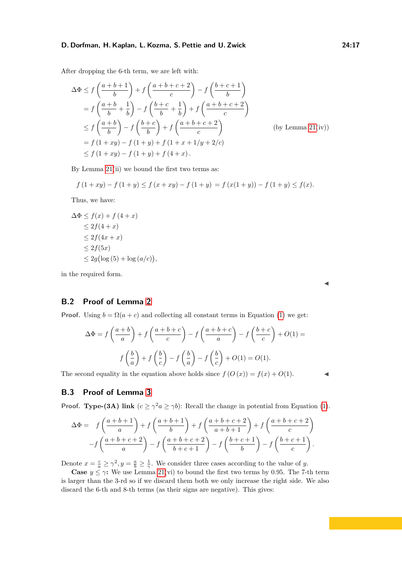After dropping the 6-th term, we are left with:

$$
\Delta \Phi \le f\left(\frac{a+b+1}{b}\right) + f\left(\frac{a+b+c+2}{c}\right) - f\left(\frac{b+c+1}{b}\right)
$$
  
=  $f\left(\frac{a+b}{b} + \frac{1}{b}\right) - f\left(\frac{b+c}{b} + \frac{1}{b}\right) + f\left(\frac{a+b+c+2}{c}\right)$   
 $\le f\left(\frac{a+b}{b}\right) - f\left(\frac{b+c}{b}\right) + f\left(\frac{a+b+c+2}{c}\right)$  (by Lemma 21(iv))  
=  $f(1+xy) - f(1+y) + f(1+x+1/y+2/c)$   
 $\le f(1+xy) - f(1+y) + f(4+x).$ 

By Lemma [21\(](#page-13-2)ii) we bound the first two terms as:

$$
f(1+xy) - f(1+y) \le f(x+xy) - f(1+y) = f(x(1+y)) - f(1+y) \le f(x).
$$

Thus, we have:

$$
\Delta \Phi \le f(x) + f(4+x)
$$
  
\n
$$
\le 2f(4+x)
$$
  
\n
$$
\le 2f(4x+x)
$$
  
\n
$$
\le 2f(5x)
$$
  
\n
$$
\le 2g(\log(5) + \log(a/c)),
$$

in the required form.

## <span id="page-16-0"></span>**B.2 Proof of Lemma [2](#page-5-2)**

**Proof.** Using  $b = \Omega(a + c)$  and collecting all constant terms in Equation [\(1\)](#page-4-2) we get:

$$
\Delta \Phi = f\left(\frac{a+b}{a}\right) + f\left(\frac{a+b+c}{c}\right) - f\left(\frac{a+b+c}{a}\right) - f\left(\frac{b+c}{c}\right) + O(1) =
$$

$$
f\left(\frac{b}{a}\right) + f\left(\frac{b}{c}\right) - f\left(\frac{b}{a}\right) - f\left(\frac{b}{c}\right) + O(1) = O(1).
$$

The second equality in the equation above holds since  $f(O(x)) = f(x) + O(1)$ .

J

# <span id="page-16-1"></span>**B.3 Proof of Lemma [3](#page-5-5)**

**Proof. Type-(3A)** link  $(c \ge \gamma^2 a \ge \gamma b)$ : Recall the change in potential from Equation [\(1\)](#page-4-2).

$$
\Delta \Phi = f\left(\frac{a+b+1}{a}\right) + f\left(\frac{a+b+1}{b}\right) + f\left(\frac{a+b+c+2}{a+b+1}\right) + f\left(\frac{a+b+c+2}{c}\right)
$$

$$
-f\left(\frac{a+b+c+2}{a}\right) - f\left(\frac{a+b+c+2}{b+c+1}\right) - f\left(\frac{b+c+1}{b}\right) - f\left(\frac{b+c+1}{c}\right).
$$

Denote  $x = \frac{c}{a} \ge \gamma^2, y = \frac{a}{b} \ge \frac{1}{\gamma}$ . We consider three cases according to the value of *y*.

**Case**  $y \le \gamma$ : We use Lemma [21\(](#page-13-2)vi) to bound the first two terms by 0.95. The 7-th term is larger than the 3-rd so if we discard them both we only increase the right side. We also discard the 6-th and 8-th terms (as their signs are negative). This gives: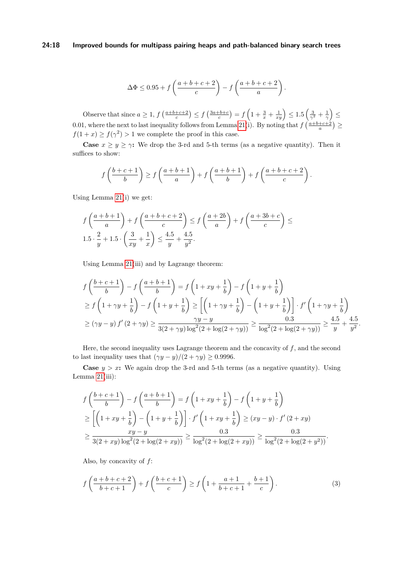#### **24:18 Improved bounds for multipass pairing heaps and path-balanced binary search trees**

$$
\Delta \Phi \le 0.95 + f\left(\frac{a+b+c+2}{c}\right) - f\left(\frac{a+b+c+2}{a}\right).
$$

Observe that since  $a \geq 1$ ,  $f\left(\frac{a+b+c+2}{c}\right) \leq f\left(\frac{3a+b+c}{c}\right) = f\left(1+\frac{3}{x}+\frac{1}{xy}\right) \leq 1.5\left(\frac{3}{\gamma^2}+\frac{1}{\gamma}\right) \leq$ 0.01, where the next to last inequality follows from Lemma [21\(](#page-13-2)i). By noting that  $f\left(\frac{a+b+c+2}{a}\right) \ge$  $f(1+x) \ge f(\gamma^2) > 1$  we complete the proof in this case.

**Case**  $x \ge y \ge \gamma$ : We drop the 3-rd and 5-th terms (as a negative quantity). Then it suffices to show:

$$
f\left(\frac{b+c+1}{b}\right) \ge f\left(\frac{a+b+1}{a}\right) + f\left(\frac{a+b+1}{b}\right) + f\left(\frac{a+b+c+2}{c}\right).
$$

Using Lemma [21\(](#page-13-2)i) we get:

$$
f\left(\frac{a+b+1}{a}\right) + f\left(\frac{a+b+c+2}{c}\right) \le f\left(\frac{a+2b}{a}\right) + f\left(\frac{a+3b+c}{c}\right) \le 1.5 \cdot \frac{2}{y} + 1.5 \cdot \left(\frac{3}{xy} + \frac{1}{x}\right) \le \frac{4.5}{y} + \frac{4.5}{y^2}.
$$

Using Lemma [21\(](#page-13-2)iii) and by Lagrange theorem:

$$
f\left(\frac{b+c+1}{b}\right) - f\left(\frac{a+b+1}{b}\right) = f\left(1+xy+\frac{1}{b}\right) - f\left(1+y+\frac{1}{b}\right)
$$
  
\n
$$
\geq f\left(1+\gamma y+\frac{1}{b}\right) - f\left(1+y+\frac{1}{b}\right) \geq \left[\left(1+\gamma y+\frac{1}{b}\right) - \left(1+y+\frac{1}{b}\right)\right] \cdot f'\left(1+\gamma y+\frac{1}{b}\right)
$$
  
\n
$$
\geq (\gamma y - y) f'(2+\gamma y) \geq \frac{\gamma y - y}{3(2+\gamma y)\log^2(2+\log(2+\gamma y))} \geq \frac{0.3}{\log^2(2+\log(2+\gamma y))} \geq \frac{4.5}{y} + \frac{4.5}{y^2}.
$$

Here, the second inequality uses Lagrange theorem and the concavity of  $f$ , and the second to last inequality uses that  $(\gamma y - y)/(2 + \gamma y) \ge 0.9996$ .

**Case**  $y > x$ : We again drop the 3-rd and 5-th terms (as a negative quantity). Using Lemma  $21(iii)$ :

$$
f\left(\frac{b+c+1}{b}\right) - f\left(\frac{a+b+1}{b}\right) = f\left(1+xy+\frac{1}{b}\right) - f\left(1+y+\frac{1}{b}\right)
$$
  
\n
$$
\geq \left[\left(1+xy+\frac{1}{b}\right) - \left(1+y+\frac{1}{b}\right)\right] \cdot f'\left(1+xy+\frac{1}{b}\right) \geq (xy-y) \cdot f'(2+xy)
$$
  
\n
$$
\geq \frac{xy-y}{3(2+xy)\log^2(2+\log(2+xy))} \geq \frac{0.3}{\log^2(2+\log(2+xy))} \geq \frac{0.3}{\log^2(2+\log(2+yz))}.
$$

Also, by concavity of *f*:

<span id="page-17-0"></span>
$$
f\left(\frac{a+b+c+2}{b+c+1}\right) + f\left(\frac{b+c+1}{c}\right) \ge f\left(1 + \frac{a+1}{b+c+1} + \frac{b+1}{c}\right). \tag{3}
$$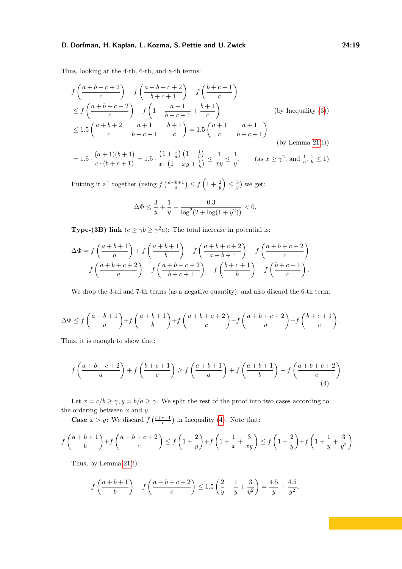Thus, looking at the 4-th, 6-th, and 8-th terms:

$$
f\left(\frac{a+b+c+2}{c}\right) - f\left(\frac{a+b+c+2}{b+c+1}\right) - f\left(\frac{b+c+1}{c}\right)
$$
  
\n
$$
\leq f\left(\frac{a+b+c+2}{c}\right) - f\left(1 + \frac{a+1}{b+c+1} + \frac{b+1}{c}\right) \qquad \text{(by Inequality (3))}
$$
  
\n
$$
\leq 1.5\left(\frac{a+b+2}{c} - \frac{a+1}{b+c+1} - \frac{b+1}{c}\right) = 1.5\left(\frac{a+1}{c} - \frac{a+1}{b+c+1}\right) \qquad \text{(by Lemma 21(i))}
$$
  
\n
$$
= 1.5 \cdot \frac{(a+1)(b+1)}{c \cdot (b+c+1)} = 1.5 \cdot \frac{\left(1 + \frac{1}{a}\right)\left(1 + \frac{1}{b}\right)}{x \cdot \left(1 + xy + \frac{1}{b}\right)} \leq \frac{1}{xy} \leq \frac{1}{y}. \qquad \text{(as } x \geq \gamma^2 \text{, and } \frac{1}{a}, \frac{1}{b} \leq 1)
$$

Putting it all together (using  $f\left(\frac{a+b+1}{a}\right) \le f\left(1+\frac{2}{y}\right) \le \frac{3}{y}$ ) we get:

$$
\Delta \Phi \le \frac{3}{y} + \frac{1}{y} - \frac{0.3}{\log^2(2 + \log(1 + y^2))} < 0.
$$

**Type-(3B) link**  $(c \ge \gamma b \ge \gamma^2 a)$ : The total increase in potential is:

$$
\Delta \Phi = f\left(\frac{a+b+1}{a}\right) + f\left(\frac{a+b+1}{b}\right) + f\left(\frac{a+b+c+2}{a+b+1}\right) + f\left(\frac{a+b+c+2}{c}\right)
$$

$$
-f\left(\frac{a+b+c+2}{a}\right) - f\left(\frac{a+b+c+2}{b+c+1}\right) - f\left(\frac{b+c+1}{b}\right) - f\left(\frac{b+c+1}{c}\right).
$$

We drop the 3-rd and 7-th terms (as a negative quantity), and also discard the 6-th term.

$$
\Delta \Phi \le f\left(\frac{a+b+1}{a}\right) + f\left(\frac{a+b+1}{b}\right) + f\left(\frac{a+b+c+2}{c}\right) - f\left(\frac{a+b+c+2}{a}\right) - f\left(\frac{b+c+1}{c}\right).
$$

Thus, it is enough to show that:

<span id="page-18-0"></span>
$$
f\left(\frac{a+b+c+2}{a}\right) + f\left(\frac{b+c+1}{c}\right) \ge f\left(\frac{a+b+1}{a}\right) + f\left(\frac{a+b+1}{b}\right) + f\left(\frac{a+b+c+2}{c}\right).
$$
\n(4)

Let  $x = c/b \ge \gamma$ ,  $y = b/a \ge \gamma$ . We split the rest of the proof into two cases according to the ordering between *x* and *y*.

**Case**  $x > y$ : We discard  $f\left(\frac{b+c+1}{c}\right)$  in Inequality [\(4\)](#page-18-0). Note that:

$$
f\left(\frac{a+b+1}{b}\right) + f\left(\frac{a+b+c+2}{c}\right) \le f\left(1+\frac{2}{y}\right) + f\left(1+\frac{1}{x}+\frac{3}{xy}\right) \le f\left(1+\frac{2}{y}\right) + f\left(1+\frac{1}{y}+\frac{3}{y^2}\right).
$$

Thus, by Lemma [21\(](#page-13-2)i):

$$
f\left(\frac{a+b+1}{b}\right) + f\left(\frac{a+b+c+2}{c}\right) \le 1.5\left(\frac{2}{y} + \frac{1}{y} + \frac{3}{y^2}\right) = \frac{4.5}{y} + \frac{4.5}{y^2}.
$$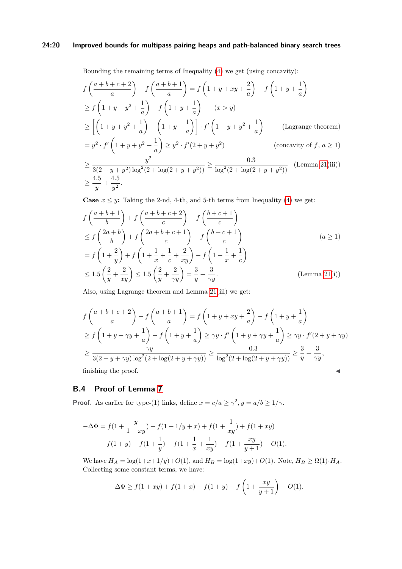# **24:20 Improved bounds for multipass pairing heaps and path-balanced binary search trees**

Bounding the remaining terms of Inequality [\(4\)](#page-18-0) we get (using concavity):

$$
f\left(\frac{a+b+c+2}{a}\right) - f\left(\frac{a+b+1}{a}\right) = f\left(1+y+xy+\frac{2}{a}\right) - f\left(1+y+\frac{1}{a}\right)
$$
  
\n
$$
\geq f\left(1+y+y^2+\frac{1}{a}\right) - f\left(1+y+\frac{1}{a}\right) \qquad (x>y)
$$
  
\n
$$
\geq \left[\left(1+y+y^2+\frac{1}{a}\right) - \left(1+y+\frac{1}{a}\right)\right] \cdot f'\left(1+y+y^2+\frac{1}{a}\right) \qquad \text{(Lagrange theorem)}
$$
  
\n
$$
= y^2 \cdot f'\left(1+y+y^2+\frac{1}{a}\right) \geq y^2 \cdot f'(2+y+y^2) \qquad \text{(concavity of } f, a \geq 1)
$$

$$
\geq \frac{y^2}{3(2+y+y^2)\log^2(2+\log(2+y+y^2))} \geq \frac{0.3}{\log^2(2+\log(2+y+y^2))}
$$
 (Lemma 21(iii))  

$$
\geq \frac{4.5}{y} + \frac{4.5}{y^2}.
$$

**Case**  $x \leq y$ : Taking the 2-nd, 4-th, and 5-th terms from Inequality [\(4\)](#page-18-0) we get:

$$
f\left(\frac{a+b+1}{b}\right) + f\left(\frac{a+b+c+2}{c}\right) - f\left(\frac{b+c+1}{c}\right)
$$
  
\n
$$
\leq f\left(\frac{2a+b}{b}\right) + f\left(\frac{2a+b+c+1}{c}\right) - f\left(\frac{b+c+1}{c}\right)
$$
  
\n
$$
= f\left(1 + \frac{2}{y}\right) + f\left(1 + \frac{1}{x} + \frac{1}{c} + \frac{2}{xy}\right) - f\left(1 + \frac{1}{x} + \frac{1}{c}\right)
$$
  
\n
$$
\leq 1.5\left(\frac{2}{y} + \frac{2}{xy}\right) \leq 1.5\left(\frac{2}{y} + \frac{2}{\gamma y}\right) = \frac{3}{y} + \frac{3}{\gamma y}.
$$
 (Lemma 21(i))

Also, using Lagrange theorem and Lemma [21\(](#page-13-2)iii) we get:

$$
f\left(\frac{a+b+c+2}{a}\right) - f\left(\frac{a+b+1}{a}\right) = f\left(1+y+xy+\frac{2}{a}\right) - f\left(1+y+\frac{1}{a}\right)
$$
  
\n
$$
\geq f\left(1+y+\gamma y+\frac{1}{a}\right) - f\left(1+y+\frac{1}{a}\right) \geq \gamma y \cdot f'\left(1+y+\gamma y+\frac{1}{a}\right) \geq \gamma y \cdot f'(2+y+\gamma y)
$$
  
\n
$$
\geq \frac{\gamma y}{3(2+y+\gamma y)\log^{2}(2+\log(2+y+\gamma y))} \geq \frac{0.3}{\log^{2}(2+\log(2+y+\gamma y))} \geq \frac{3}{y} + \frac{3}{\gamma y},
$$
  
\nfinishing the proof.

<span id="page-19-0"></span>**B.4 Proof of Lemma [7](#page-6-1)**

**Proof.** As earlier for type-(1) links, define  $x = c/a \ge \gamma^2, y = a/b \ge 1/\gamma$ .

$$
-\Delta \Phi = f(1 + \frac{y}{1+xy}) + f(1+1/y+x) + f(1+\frac{1}{xy}) + f(1+xy)
$$

$$
-f(1+y) - f(1+\frac{1}{y}) - f(1+\frac{1}{x}+\frac{1}{xy}) - f(1+\frac{xy}{y+1}) - O(1).
$$

We have  $H_A = \log(1 + x + 1/y) + O(1)$ , and  $H_B = \log(1 + xy) + O(1)$ . Note,  $H_B \ge \Omega(1) \cdot H_A$ . Collecting some constant terms, we have:

$$
-\Delta \Phi \ge f(1+xy) + f(1+x) - f(1+y) - f\left(1 + \frac{xy}{y+1}\right) - O(1).
$$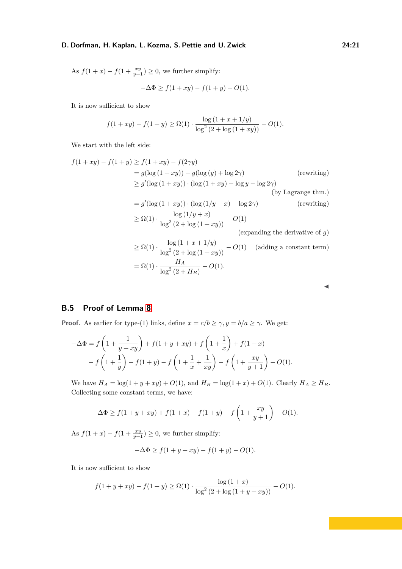As  $f(1+x) - f(1+\frac{xy}{y+1}) \geq 0$ , we further simplify:

$$
-\Delta \Phi \ge f(1+xy) - f(1+y) - O(1).
$$

It is now sufficient to show

$$
f(1+xy) - f(1+y) \ge \Omega(1) \cdot \frac{\log(1+ x + 1/y)}{\log^2(2 + \log(1+xy))} - O(1).
$$

We start with the left side:

$$
f(1+xy) - f(1+y) \ge f(1+xy) - f(2\gamma y)
$$
  
\n
$$
= g(\log (1+xy)) - g(\log (y) + \log 2\gamma)
$$
 (rewriting)  
\n
$$
\ge g'(\log (1+xy)) \cdot (\log (1+xy) - \log y - \log 2\gamma)
$$
  
\n(by Lagrange thm.)  
\n
$$
= g'(\log (1+xy)) \cdot (\log (1/y+x) - \log 2\gamma)
$$
 (rewriting)  
\n
$$
\ge \Omega(1) \cdot \frac{\log (1/y+x)}{\log^2(2+\log(1+xy))} - O(1)
$$
  
\n(expanding the derivative of g)  
\n
$$
\ge \Omega(1) \cdot \frac{\log (1+x+1/y)}{\log^2(2+\log(1+xy))} - O(1)
$$
 (adding a constant term)  
\n
$$
= \Omega(1) \cdot \frac{H_A}{\log^2(2+H_B)} - O(1).
$$

| w<br>M. |
|---------|
|         |

# <span id="page-20-0"></span>**B.5 Proof of Lemma [8](#page-6-2)**

**Proof.** As earlier for type-(1) links, define  $x = c/b \ge \gamma$ ,  $y = b/a \ge \gamma$ . We get:

$$
-\Delta \Phi = f\left(1 + \frac{1}{y + xy}\right) + f(1 + y + xy) + f\left(1 + \frac{1}{x}\right) + f(1 + x) - f\left(1 + \frac{1}{y}\right) - f(1 + y) - f\left(1 + \frac{1}{x} + \frac{1}{xy}\right) - f\left(1 + \frac{xy}{y + 1}\right) - O(1).
$$

We have  $H_A = \log(1 + y + xy) + O(1)$ , and  $H_B = \log(1 + x) + O(1)$ . Clearly  $H_A \ge H_B$ . Collecting some constant terms, we have:

$$
-\Delta \Phi \ge f(1+y+xy) + f(1+x) - f(1+y) - f\left(1+\frac{xy}{y+1}\right) - O(1).
$$

As  $f(1+x) - f(1+\frac{xy}{y+1}) \geq 0$ , we further simplify:

$$
-\Delta \Phi \ge f(1 + y + xy) - f(1 + y) - O(1).
$$

It is now sufficient to show

$$
f(1 + y + xy) - f(1 + y) \ge \Omega(1) \cdot \frac{\log(1 + x)}{\log^2(2 + \log(1 + y + xy))} - O(1).
$$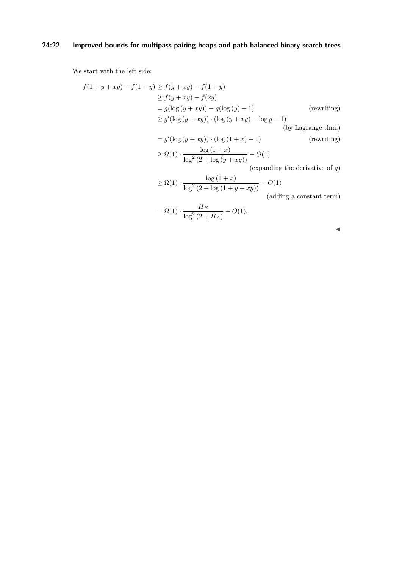# **24:22 Improved bounds for multipass pairing heaps and path-balanced binary search trees**

We start with the left side:

$$
f(1 + y + xy) - f(1 + y) \ge f(y + xy) - f(1 + y)
$$
  
\n
$$
\ge f(y + xy) - f(2y)
$$
  
\n
$$
= g(\log(y + xy)) - g(\log(y) + 1)
$$
 (rewriting)  
\n
$$
\ge g'(\log(y + xy)) \cdot (\log(y + xy) - \log y - 1)
$$
  
\n
$$
= g'(\log(y + xy)) \cdot (\log(1 + x) - 1)
$$
 (rewriting)  
\n
$$
\ge \Omega(1) \cdot \frac{\log(1 + x)}{\log^2(2 + \log(y + xy))} - O(1)
$$

(expanding the derivative of *g*)

$$
\geq \Omega(1) \cdot \frac{\log\left(1+x\right)}{\log^2\left(2+\log\left(1+y+xy\right)\right)} - O(1)
$$

(adding a constant term)

$$
= \Omega(1) \cdot \frac{H_B}{\log^2(2 + H_A)} - O(1).
$$

| × | M. |    |  |
|---|----|----|--|
|   |    | M. |  |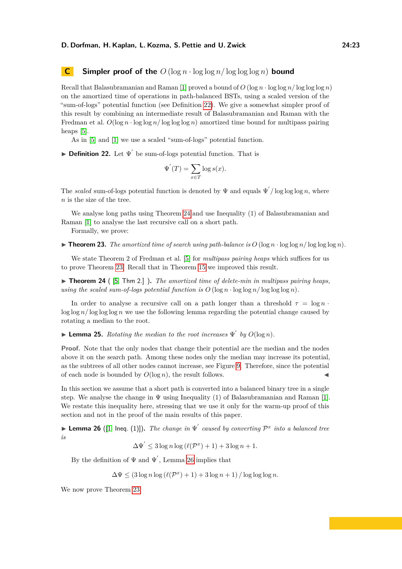# <span id="page-22-0"></span>**C Simpler proof of the**  $O(\log n \cdot \log \log n / \log \log \log n)$  bound

Recall that Balasubramanian and Raman [\[1\]](#page-29-5) proved a bound of  $O(\log n \cdot \log \log n / \log \log n)$ on the amortized time of operations in path-balanced BSTs, using a scaled version of the "sum-of-logs" potential function (see Definition [22\)](#page-22-1). We give a somewhat simpler proof of this result by combining an intermediate result of Balasubramanian and Raman with the Fredman et al.  $O(\log n \cdot \log \log n / \log \log n)$  amortized time bound for multipass pairing heaps [\[5\]](#page-29-8).

As in [\[5\]](#page-29-8) and [\[1\]](#page-29-5) we use a scaled "sum-of-logs" potential function.

<span id="page-22-1"></span>**Definition 22.** Let  $\Psi'$  be sum-of-logs potential function. That is

$$
\Psi'(T) = \sum_{x \in T} \log s(x).
$$

The *scaled* sum-of-logs potential function is denoted by  $\Psi$  and equals  $\Psi' / \log \log \log n$ , where *n* is the size of the tree.

We analyse long paths using Theorem [24](#page-22-2) and use Inequality (1) of Balasubramanian and Raman [\[1\]](#page-29-5) to analyse the last recursive call on a short path.

Formally, we prove:

<span id="page-22-3"></span> $\triangleright$  **Theorem 23.** *The amortized time of search using path-balance is O* (log *n*  $\cdot$  log log  $n$ )*.* 

We state Theorem 2 of Fredman et al. [\[5\]](#page-29-8) for *multipass pairing heaps* which suffices for us to prove Theorem [23.](#page-22-3) Recall that in Theorem [15](#page-7-4) we improved this result.

<span id="page-22-2"></span>▶ **Theorem 24** ( [\[5,](#page-29-8) Thm 2.] ). The amortized time of delete-min in multipass pairing heaps, *using the scaled sum-of-logs potential function is*  $O(\log n \cdot \log \log n / \log \log \log n)$ .

In order to analyse a recursive call on a path longer than a threshold  $\tau = \log n$ .  $\log \log n / \log \log \log n$  we use the following lemma regarding the potential change caused by rotating a median to the root.

<span id="page-22-5"></span> $\blacktriangleright$  **Lemma 25.** *Rotating the median to the root increases*  $\Psi'$  *by*  $O(\log n)$ *.* 

**Proof.** Note that the only nodes that change their potential are the median and the nodes above it on the search path. Among these nodes only the median may increase its potential, as the subtrees of all other nodes cannot increase, see Figure [9.](#page-23-0) Therefore, since the potential of each node is bounded by  $O(\log n)$ , the result follows.

In this section we assume that a short path is converted into a balanced binary tree in a single step. We analyse the change in  $\Psi$  using Inequality (1) of Balasubramanian and Raman [\[1\]](#page-29-5). We restate this inequality here, stressing that we use it only for the warm-up proof of this section and not in the proof of the main results of this paper.

<span id="page-22-4"></span>**Lemma 26** ([\[1,](#page-29-5) Ineq. (1)]). The change in  $\Psi'$  caused by converting  $\mathcal{P}^x$  into a balanced tree *is*

$$
\Delta\Psi' \le 3\log n \log \left(\ell(\mathcal{P}^x) + 1\right) + 3\log n + 1.
$$

By the definition of  $\Psi$  and  $\Psi'$ , Lemma [26](#page-22-4) implies that

 $\Delta \Psi \leq (3 \log n \log (\ell(\mathcal{P}^x) + 1) + 3 \log n + 1) / \log \log \log n.$ 

We now prove Theorem [23.](#page-22-3)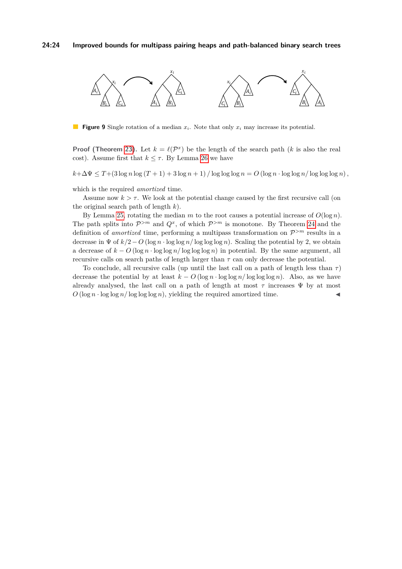<span id="page-23-0"></span>

**Figure 9** Single rotation of a median *xi*. Note that only *x<sup>i</sup>* may increase its potential.

**Proof (Theorem [23\)](#page-22-3).** Let  $k = \ell(\mathcal{P}^x)$  be the length of the search path (*k* is also the real cost). Assume first that  $k \leq \tau$ . By Lemma [26](#page-22-4) we have

 $k + \Delta \Psi \leq T + (3 \log n \log (T + 1) + 3 \log n + 1) / \log \log \log n = O(\log n \cdot \log \log n / \log \log \log n)$ ,

which is the required *amortized* time.

Assume now  $k > \tau$ . We look at the potential change caused by the first recursive call (on the original search path of length *k*).

By Lemma [25,](#page-22-5) rotating the median *m* to the root causes a potential increase of  $O(\log n)$ . The path splits into  $\mathcal{P}^{>m}$  and  $Q^x$ , of which  $\mathcal{P}^{>m}$  is monotone. By Theorem [24](#page-22-2) and the definition of *amortized* time, performing a multipass transformation on P *>m* results in a decrease in  $\Psi$  of  $k/2 - O$  (log  $n \cdot \log \log n / \log \log \log n$ ). Scaling the potential by 2, we obtain a decrease of  $k - O(\log n \cdot \log \log n / \log \log n)$  in potential. By the same argument, all recursive calls on search paths of length larger than  $\tau$  can only decrease the potential.

To conclude, all recursive calls (up until the last call on a path of length less than *τ* ) decrease the potential by at least  $k - O(\log n \cdot \log \log n / \log \log \log n)$ . Also, as we have already analysed, the last call on a path of length at most *τ* increases Ψ by at most  $O(\log n \cdot \log \log n / \log \log \log n)$ , yielding the required amortized time.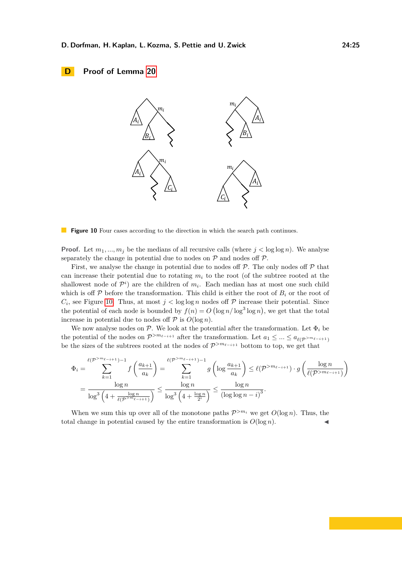# <span id="page-24-1"></span><span id="page-24-0"></span>**D Proof of Lemma [20](#page-11-0)**



**Figure 10** Four cases according to the direction in which the search path continues.

**Proof.** Let  $m_1, ..., m_j$  be the medians of all recursive calls (where  $j < \log \log n$ ). We analyse separately the change in potential due to nodes on  $P$  and nodes off  $P$ .

First, we analyse the change in potential due to nodes off  $P$ . The only nodes off  $P$  that can increase their potential due to rotating  $m<sub>i</sub>$  to the root (of the subtree rooted at the shallowest node of  $\mathcal{P}^i$  are the children of  $m_i$ . Each median has at most one such child which is off  $P$  before the transformation. This child is either the root of  $B_i$  or the root of  $C_i$ , see Figure [10.](#page-24-1) Thus, at most  $j < \log \log n$  nodes off  $P$  increase their potential. Since the potential of each node is bounded by  $f(n) = O(\log n / \log^3 \log n)$ , we get that the total increase in potential due to nodes off  $P$  is  $O(\log n)$ .

We now analyse nodes on  $P$ . We look at the potential after the transformation. Let  $\Phi_i$  be the potential of the nodes on  $\mathcal{P}^{>m_{\ell-i+1}}$  after the transformation. Let  $a_1 \leq ... \leq a_{\ell(\mathcal{P}^{>m_{\ell-i+1}})}$ be the sizes of the subtrees rooted at the nodes of  $\mathcal{P}^{>m_{\ell-i+1}}$  bottom to top, we get that

$$
\Phi_{i} = \sum_{k=1}^{\ell(\mathcal{P}^{>m_{\ell-i+1}})-1} f\left(\frac{a_{k+1}}{a_{k}}\right) = \sum_{k=1}^{\ell(\mathcal{P}^{>m_{\ell-i+1}})-1} g\left(\log \frac{a_{k+1}}{a_{k}}\right) \leq \ell(\mathcal{P}^{>m_{\ell-i+1}}) \cdot g\left(\frac{\log n}{\ell(\mathcal{P}^{>m_{\ell-i+1}})}\right)
$$
\n
$$
= \frac{\log n}{\log^{3}\left(4 + \frac{\log n}{\ell(\mathcal{P}^{>m_{\ell-i+1}})}\right)} \leq \frac{\log n}{\log^{3}\left(4 + \frac{\log n}{2^{i}}\right)} \leq \frac{\log n}{(\log \log n - i)^{3}}.
$$

When we sum this up over all of the monotone paths  $\mathcal{P}^{>m_i}$  we get  $O(\log n)$ . Thus, the total change in potential caused by the entire transformation is  $O(\log n)$ .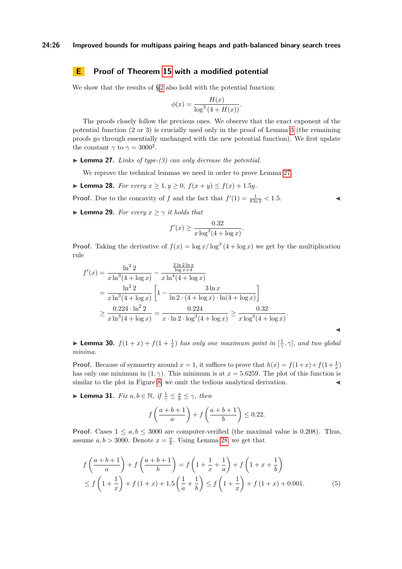# <span id="page-25-0"></span>**E Proof of Theorem [15](#page-7-4) with a modified potential**

We show that the results of  $\S 2$  $\S 2$  also hold with the potential function:

$$
\phi(x) = \frac{H(x)}{\log^3(4 + H(x))}.
$$

The proofs closely follow the previous ones. We observe that the exact exponent of the potential function (2 or 3) is crucially used only in the proof of Lemma [3](#page-5-5) (the remaining proofs go through essentially unchanged with the new potential function). We first update the constant  $\gamma$  to  $\gamma = 3000^2$ .

<span id="page-25-1"></span> $\blacktriangleright$  **Lemma 27.** *Links of type-(3) can only decrease the potential.* 

We reprove the technical lemmas we need in order to prove Lemma [27.](#page-25-1)

<span id="page-25-2"></span>▶ **Lemma 28.** *For every*  $x \ge 1, y \ge 0$ ,  $f(x + y) \le f(x) + 1.5y$ .

**Proof.** Due to the concavity of *f* and the fact that  $f'(1) = \frac{1}{8 \ln 2} < 1.5$ .

$$
\blacksquare
$$

<span id="page-25-4"></span> $\blacktriangleleft$ 

<span id="page-25-6"></span>**In Lemma 29.** *For every*  $x \geq \gamma$  *it holds that* 

$$
f'(x) \ge \frac{0.32}{x \log^3(4 + \log x)}.
$$

**Proof.** Taking the derivative of  $f(x) = \log x / \log^3(4 + \log x)$  we get by the multiplication rule

$$
f'(x) = \frac{\ln^2 2}{x \ln^3 (4 + \log x)} - \frac{\frac{3 \ln 2 \ln x}{\log x + 4}}{x \ln^4 (4 + \log x)}
$$
  
= 
$$
\frac{\ln^2 2}{x \ln^3 (4 + \log x)} \left[ 1 - \frac{3 \ln x}{\ln 2 \cdot (4 + \log x) \cdot \ln (4 + \log x)} \right]
$$
  

$$
\geq \frac{0.224 \cdot \ln^2 2}{x \ln^3 (4 + \log x)} = \frac{0.224}{x \cdot \ln 2 \cdot \log^3 (4 + \log x)} \geq \frac{0.32}{x \log^3 (4 + \log x)}.
$$

<span id="page-25-3"></span>**Lemma 30.**  $f(1+x)+f(1+\frac{1}{x})$  has only one maximum point in  $[\frac{1}{\gamma}, \gamma]$ , and two global *minima.*

**Proof.** Because of symmetry around  $x = 1$ , it suffices to prove that  $h(x) = f(1+x) + f(1+\frac{1}{x})$ has only one minimum in  $(1, \gamma)$ . This minimum is at  $x = 5.6259$ . The plot of this function is similar to the plot in Figure [8,](#page-14-1) we omit the tedious analytical derivation.

<span id="page-25-5"></span>**I Lemma 31.** *Fix*  $a, b \in \mathbb{N}$ , if  $\frac{1}{\gamma} \leq \frac{a}{b} \leq \gamma$ , then

$$
f\left(\frac{a+b+1}{a}\right) + f\left(\frac{a+b+1}{b}\right) \le 0.22.
$$

**Proof.** Cases  $1 \leq a, b \leq 3000$  are computer-verified (the maximal value is 0.208). Thus, assume  $a, b > 3000$ . Denote  $x = \frac{a}{b}$ . Using Lemma [28,](#page-25-2) we get that

$$
f\left(\frac{a+b+1}{a}\right) + f\left(\frac{a+b+1}{b}\right) = f\left(1 + \frac{1}{x} + \frac{1}{a}\right) + f\left(1 + x + \frac{1}{b}\right)
$$
  
\n
$$
\le f\left(1 + \frac{1}{x}\right) + f\left(1 + x\right) + 1.5\left(\frac{1}{a} + \frac{1}{b}\right) \le f\left(1 + \frac{1}{x}\right) + f\left(1 + x\right) + 0.001. \tag{5}
$$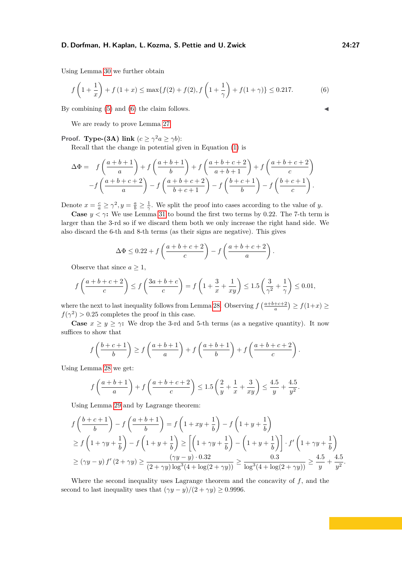Using Lemma [30](#page-25-3) we further obtain

$$
f\left(1+\frac{1}{x}\right) + f\left(1+x\right) \le \max\{f(2) + f(2), f\left(1+\frac{1}{\gamma}\right) + f(1+\gamma)\} \le 0.217. \tag{6}
$$

By combining  $(5)$  and  $(6)$  the claim follows.

We are ready to prove Lemma [27.](#page-25-1)

**Proof. Type-(3A)** link  $(c \geq \gamma^2 a \geq \gamma b)$ :

Recall that the change in potential given in Equation [\(1\)](#page-4-2) is

$$
\Delta \Phi = f\left(\frac{a+b+1}{a}\right) + f\left(\frac{a+b+1}{b}\right) + f\left(\frac{a+b+c+2}{a+b+1}\right) + f\left(\frac{a+b+c+2}{c}\right)
$$

$$
-f\left(\frac{a+b+c+2}{a}\right) - f\left(\frac{a+b+c+2}{b+c+1}\right) - f\left(\frac{b+c+1}{b}\right) - f\left(\frac{b+c+1}{c}\right).
$$

Denote  $x = \frac{c}{a} \ge \gamma^2, y = \frac{a}{b} \ge \frac{1}{\gamma}$ . We split the proof into cases according to the value of *y*.

**Case**  $y < \gamma$ : We use Lemma [31](#page-25-5) to bound the first two terms by 0.22. The 7-th term is larger than the 3-rd so if we discard them both we only increase the right hand side. We also discard the 6-th and 8-th terms (as their signs are negative). This gives

$$
\Delta \Phi \le 0.22 + f\left(\frac{a+b+c+2}{c}\right) - f\left(\frac{a+b+c+2}{a}\right)
$$

<span id="page-26-0"></span>*.*

Observe that since  $a \geq 1$ ,

$$
f\left(\frac{a+b+c+2}{c}\right) \le f\left(\frac{3a+b+c}{c}\right) = f\left(1 + \frac{3}{x} + \frac{1}{xy}\right) \le 1.5\left(\frac{3}{\gamma^2} + \frac{1}{\gamma}\right) \le 0.01,
$$

where the next to last inequality follows from Lemma [28.](#page-25-2) Observing  $f\left(\frac{a+b+c+2}{a}\right) \ge f(1+x) \ge$  $f(\gamma^2) > 0.25$  completes the proof in this case.

**Case**  $x \geq y \geq \gamma$ : We drop the 3-rd and 5-th terms (as a negative quantity). It now suffices to show that

$$
f\left(\frac{b+c+1}{b}\right) \ge f\left(\frac{a+b+1}{a}\right) + f\left(\frac{a+b+1}{b}\right) + f\left(\frac{a+b+c+2}{c}\right).
$$

Using Lemma [28](#page-25-2) we get:

$$
f\left(\frac{a+b+1}{a}\right) + f\left(\frac{a+b+c+2}{c}\right) \le 1.5\left(\frac{2}{y} + \frac{1}{x} + \frac{3}{xy}\right) \le \frac{4.5}{y} + \frac{4.5}{y^2}.
$$

Using Lemma [29](#page-25-6) and by Lagrange theorem:

$$
f\left(\frac{b+c+1}{b}\right) - f\left(\frac{a+b+1}{b}\right) = f\left(1+xy+\frac{1}{b}\right) - f\left(1+y+\frac{1}{b}\right)
$$
  
\n
$$
\geq f\left(1+\gamma y+\frac{1}{b}\right) - f\left(1+y+\frac{1}{b}\right) \geq \left[\left(1+\gamma y+\frac{1}{b}\right) - \left(1+y+\frac{1}{b}\right)\right] \cdot f'\left(1+\gamma y+\frac{1}{b}\right)
$$
  
\n
$$
\geq (\gamma y - y) f'(2+\gamma y) \geq \frac{(\gamma y - y) \cdot 0.32}{(2+\gamma y) \log^3(4+\log(2+\gamma y))} \geq \frac{0.3}{\log^3(4+\log(2+\gamma y))} \geq \frac{4.5}{y} + \frac{4.5}{y^2}.
$$

Where the second inequality uses Lagrange theorem and the concavity of *f*, and the second to last inequality uses that  $(\gamma y - y)/(2 + \gamma y) \ge 0.9996$ .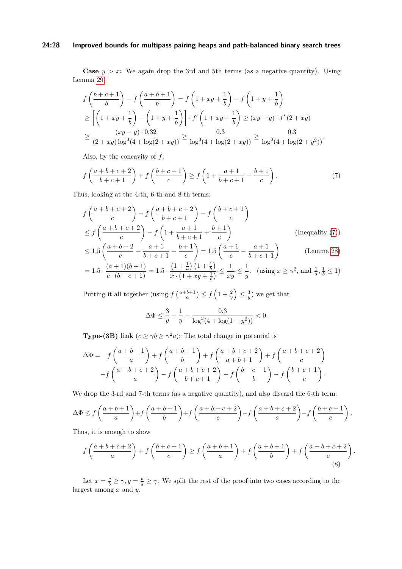### **24:28 Improved bounds for multipass pairing heaps and path-balanced binary search trees**

**Case**  $y > x$ : We again drop the 3rd and 5th terms (as a negative quantity). Using Lemma [29,](#page-25-6)

$$
f\left(\frac{b+c+1}{b}\right) - f\left(\frac{a+b+1}{b}\right) = f\left(1+xy+\frac{1}{b}\right) - f\left(1+y+\frac{1}{b}\right)
$$
  
\n
$$
\geq \left[\left(1+xy+\frac{1}{b}\right) - \left(1+y+\frac{1}{b}\right)\right] \cdot f'\left(1+xy+\frac{1}{b}\right) \geq (xy-y) \cdot f'\left(2+xy\right)
$$
  
\n
$$
\geq \frac{(xy-y) \cdot 0.32}{(2+xy)\log^3(4+\log(2+xy))} \geq \frac{0.3}{\log^3(4+\log(2+xy))} \geq \frac{0.3}{\log^3(4+\log(2+y^2))}.
$$

Also, by the concavity of *f*:

$$
f\left(\frac{a+b+c+2}{b+c+1}\right) + f\left(\frac{b+c+1}{c}\right) \ge f\left(1 + \frac{a+1}{b+c+1} + \frac{b+1}{c}\right). \tag{7}
$$

Thus, looking at the 4-th, 6-th and 8-th terms:

$$
f\left(\frac{a+b+c+2}{c}\right) - f\left(\frac{a+b+c+2}{b+c+1}\right) - f\left(\frac{b+c+1}{c}\right)
$$
  
\n
$$
\leq f\left(\frac{a+b+c+2}{c}\right) - f\left(1 + \frac{a+1}{b+c+1} + \frac{b+1}{c}\right)
$$
 (Inequality (7))  
\n
$$
\leq 1 \cdot \left(\frac{a+b+2}{b+c+1} - \frac{a+1}{b+1}\right) - 1 \cdot \left(\frac{a+1}{b+c+1} - \frac{a+1}{c}\right)
$$
 (Inequality (7))

$$
\leq 1.5 \left( \frac{a+b+2}{c} - \frac{a+1}{b+c+1} - \frac{b+1}{c} \right) = 1.5 \left( \frac{a+1}{c} - \frac{a+1}{b+c+1} \right) \tag{Lemma 28}
$$

$$
= 1.5 \cdot \frac{(a+1)(b+1)}{c \cdot (b+c+1)} = 1.5 \cdot \frac{\left(1 + \frac{1}{a}\right)\left(1 + \frac{1}{b}\right)}{x \cdot \left(1 + xy + \frac{1}{b}\right)} \le \frac{1}{xy} \le \frac{1}{y}. \quad \text{(using } x \ge \gamma^2 \text{, and } \frac{1}{a}, \frac{1}{b} \le 1\text{)}
$$

Putting it all together (using  $f\left(\frac{a+b+1}{a}\right) \le f\left(1+\frac{2}{y}\right) \le \frac{3}{y}$ ) we get that

<span id="page-27-1"></span><span id="page-27-0"></span>
$$
\Delta \Phi \le \frac{3}{y} + \frac{1}{y} - \frac{0.3}{\log^3(4 + \log(1 + y^2))} < 0.
$$

**Type-(3B)** link  $(c \ge \gamma b \ge \gamma^2 a)$ : The total change in potential is

$$
\Delta \Phi = f\left(\frac{a+b+1}{a}\right) + f\left(\frac{a+b+1}{b}\right) + f\left(\frac{a+b+c+2}{a+b+1}\right) + f\left(\frac{a+b+c+2}{c}\right)
$$

$$
-f\left(\frac{a+b+c+2}{a}\right) - f\left(\frac{a+b+c+2}{b+c+1}\right) - f\left(\frac{b+c+1}{b}\right) - f\left(\frac{b+c+1}{c}\right).
$$

We drop the 3-rd and 7-th terms (as a negative quantity), and also discard the 6-th term:

$$
\Delta \Phi \le f\left(\frac{a+b+1}{a}\right) + f\left(\frac{a+b+1}{b}\right) + f\left(\frac{a+b+c+2}{c}\right) - f\left(\frac{a+b+c+2}{a}\right) - f\left(\frac{b+c+1}{c}\right).
$$

Thus, it is enough to show

$$
f\left(\frac{a+b+c+2}{a}\right) + f\left(\frac{b+c+1}{c}\right) \ge f\left(\frac{a+b+1}{a}\right) + f\left(\frac{a+b+1}{b}\right) + f\left(\frac{a+b+c+2}{c}\right).
$$
\n(8)

Let  $x = \frac{c}{b} \ge \gamma, y = \frac{b}{a} \ge \gamma$ . We split the rest of the proof into two cases according to the largest among *x* and *y*.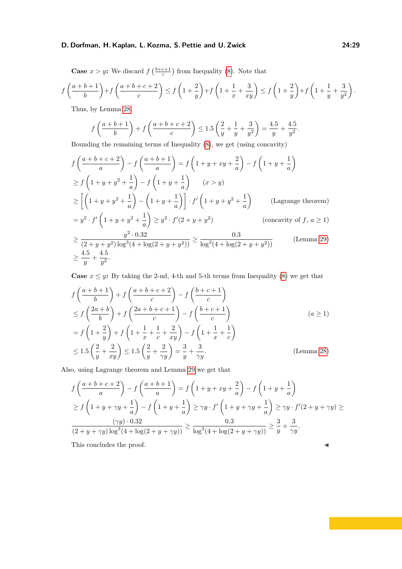**Case**  $x > y$ **:** We discard  $f\left(\frac{b+c+1}{c}\right)$  from Inequality [\(8\)](#page-27-1). Note that

$$
f\left(\frac{a+b+1}{b}\right) + f\left(\frac{a+b+c+2}{c}\right) \le f\left(1+\frac{2}{y}\right) + f\left(1+\frac{1}{x}+\frac{3}{xy}\right) \le f\left(1+\frac{2}{y}\right) + f\left(1+\frac{1}{y}+\frac{3}{y^2}\right).
$$

Thus, by Lemma [28](#page-25-2)

$$
f\left(\frac{a+b+1}{b}\right) + f\left(\frac{a+b+c+2}{c}\right) \le 1.5\left(\frac{2}{y} + \frac{1}{y} + \frac{3}{y^2}\right) = \frac{4.5}{y} + \frac{4.5}{y^2}.
$$

Bounding the remaining terms of Inequality [\(8\)](#page-27-1), we get (using concavity)

$$
f\left(\frac{a+b+c+2}{a}\right) - f\left(\frac{a+b+1}{a}\right) = f\left(1+y+xy+\frac{2}{a}\right) - f\left(1+y+\frac{1}{a}\right)
$$
  
\n
$$
\geq f\left(1+y+y^2+\frac{1}{a}\right) - f\left(1+y+\frac{1}{a}\right) \qquad (x>y)
$$
  
\n
$$
\geq \left[\left(1+y+y^2+\frac{1}{a}\right) - \left(1+y+\frac{1}{a}\right)\right] \cdot f'\left(1+y+y^2+\frac{1}{a}\right) \qquad \text{(Lagrange theorem)}
$$
  
\n
$$
= y^2 \cdot f'\left(1+y+y^2+\frac{1}{a}\right) \geq y^2 \cdot f'(2+y+y^2) \qquad \text{(concavity of } f, a \geq 1)
$$
  
\n
$$
\geq \frac{y^2 \cdot 0.32}{(2+y+y^2)\log^3(4+\log(2+y+y^2))} \geq \frac{0.3}{\log^3(4+\log(2+y+y^2))} \qquad \text{(Lemma 29)}
$$
  
\n
$$
\geq \frac{4.5}{y} + \frac{4.5}{y^2}.
$$

**Case**  $x \leq y$ : By taking the 2-nd, 4-th and 5-th terms from Inequality [\(8\)](#page-27-1) we get that

$$
f\left(\frac{a+b+1}{b}\right) + f\left(\frac{a+b+c+2}{c}\right) - f\left(\frac{b+c+1}{c}\right)
$$
  
\n
$$
\leq f\left(\frac{2a+b}{b}\right) + f\left(\frac{2a+b+c+1}{c}\right) - f\left(\frac{b+c+1}{c}\right)
$$
  
\n
$$
= f\left(1 + \frac{2}{y}\right) + f\left(1 + \frac{1}{x} + \frac{1}{c} + \frac{2}{xy}\right) - f\left(1 + \frac{1}{x} + \frac{1}{c}\right)
$$
  
\n
$$
\leq 1.5\left(\frac{2}{y} + \frac{2}{xy}\right) \leq 1.5\left(\frac{2}{y} + \frac{2}{\gamma y}\right) = \frac{3}{y} + \frac{3}{\gamma y}.
$$
 (Lemma 28)

Also, using Lagrange theorem and Lemma [29](#page-25-6) we get that

$$
f\left(\frac{a+b+c+2}{a}\right) - f\left(\frac{a+b+1}{a}\right) = f\left(1+y+xy+\frac{2}{a}\right) - f\left(1+y+\frac{1}{a}\right)
$$
  
\n
$$
\geq f\left(1+y+\gamma y+\frac{1}{a}\right) - f\left(1+y+\frac{1}{a}\right) \geq \gamma y \cdot f'\left(1+y+\gamma y+\frac{1}{a}\right) \geq \gamma y \cdot f'(2+y+\gamma y) \geq \frac{(\gamma y) \cdot 0.32}{(2+y+\gamma y)\log^3(4+\log(2+y+\gamma y))} \geq \frac{0.3}{\log^3(4+\log(2+y+\gamma y))} \geq \frac{3}{y} + \frac{3}{\gamma y}.
$$
  
\nThis concludes the proof.